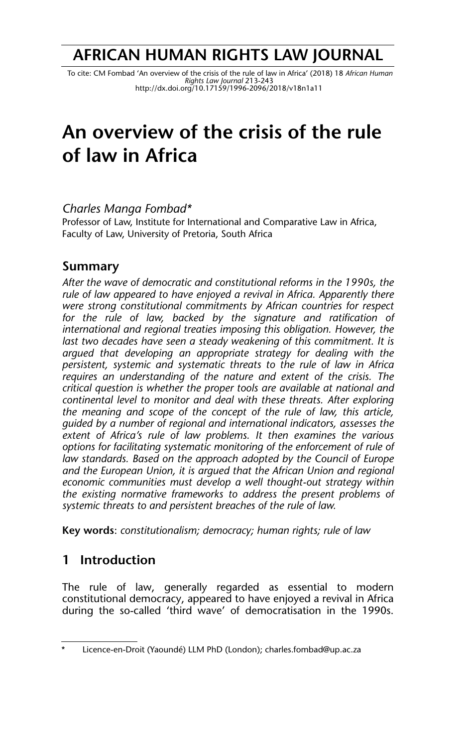## **AFRICAN HUMAN RIGHTS LAW JOURNAL**

 To cite: CM Fombad 'An overview of the crisis of the rule of law in Africa' (2018) 18 *African Human Rights Law Journal* 213-243 http://dx.doi.org/10.17159/1996-2096/2018/v18n1a11

# **An overview of the crisis of the rule of law in Africa**

#### *Charles Manga Fombad\**

Professor of Law, Institute for International and Comparative Law in Africa, Faculty of Law, University of Pretoria, South Africa

## **Summary**

*After the wave of democratic and constitutional reforms in the 1990s, the rule of law appeared to have enjoyed a revival in Africa. Apparently there were strong constitutional commitments by African countries for respect for the rule of law, backed by the signature and ratification of international and regional treaties imposing this obligation. However, the last two decades have seen a steady weakening of this commitment. It is argued that developing an appropriate strategy for dealing with the persistent, systemic and systematic threats to the rule of law in Africa requires an understanding of the nature and extent of the crisis. The critical question is whether the proper tools are available at national and continental level to monitor and deal with these threats. After exploring the meaning and scope of the concept of the rule of law, this article, guided by a number of regional and international indicators, assesses the extent of Africa's rule of law problems. It then examines the various options for facilitating systematic monitoring of the enforcement of rule of law standards. Based on the approach adopted by the Council of Europe and the European Union, it is argued that the African Union and regional economic communities must develop a well thought-out strategy within the existing normative frameworks to address the present problems of systemic threats to and persistent breaches of the rule of law.*

**Key words**: *constitutionalism; democracy; human rights; rule of law*

## **1 Introduction**

The rule of law, generally regarded as essential to modern constitutional democracy, appeared to have enjoyed a revival in Africa during the so-called 'third wave' of democratisation in the 1990s.

<sup>\*</sup> Licence-en-Droit (Yaoundé) LLM PhD (London); charles.fombad@up.ac.za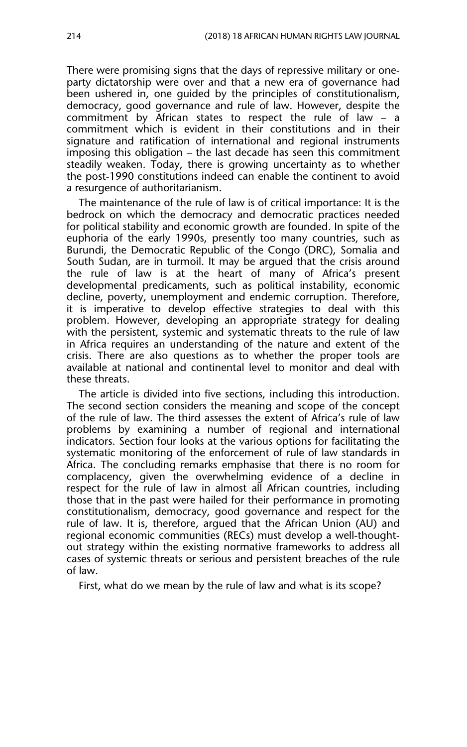There were promising signs that the days of repressive military or oneparty dictatorship were over and that a new era of governance had been ushered in, one guided by the principles of constitutionalism, democracy, good governance and rule of law. However, despite the commitment by African states to respect the rule of law – a commitment which is evident in their constitutions and in their signature and ratification of international and regional instruments imposing this obligation – the last decade has seen this commitment steadily weaken. Today, there is growing uncertainty as to whether the post-1990 constitutions indeed can enable the continent to avoid a resurgence of authoritarianism.

The maintenance of the rule of law is of critical importance: It is the bedrock on which the democracy and democratic practices needed for political stability and economic growth are founded. In spite of the euphoria of the early 1990s, presently too many countries, such as Burundi, the Democratic Republic of the Congo (DRC), Somalia and South Sudan, are in turmoil. It may be argued that the crisis around the rule of law is at the heart of many of Africa's present developmental predicaments, such as political instability, economic decline, poverty, unemployment and endemic corruption. Therefore, it is imperative to develop effective strategies to deal with this problem. However, developing an appropriate strategy for dealing with the persistent, systemic and systematic threats to the rule of law in Africa requires an understanding of the nature and extent of the crisis. There are also questions as to whether the proper tools are available at national and continental level to monitor and deal with these threats.

The article is divided into five sections, including this introduction. The second section considers the meaning and scope of the concept of the rule of law. The third assesses the extent of Africa's rule of law problems by examining a number of regional and international indicators. Section four looks at the various options for facilitating the systematic monitoring of the enforcement of rule of law standards in Africa. The concluding remarks emphasise that there is no room for complacency, given the overwhelming evidence of a decline in respect for the rule of law in almost all African countries, including those that in the past were hailed for their performance in promoting constitutionalism, democracy, good governance and respect for the rule of law. It is, therefore, argued that the African Union (AU) and regional economic communities (RECs) must develop a well-thoughtout strategy within the existing normative frameworks to address all cases of systemic threats or serious and persistent breaches of the rule of law.

First, what do we mean by the rule of law and what is its scope?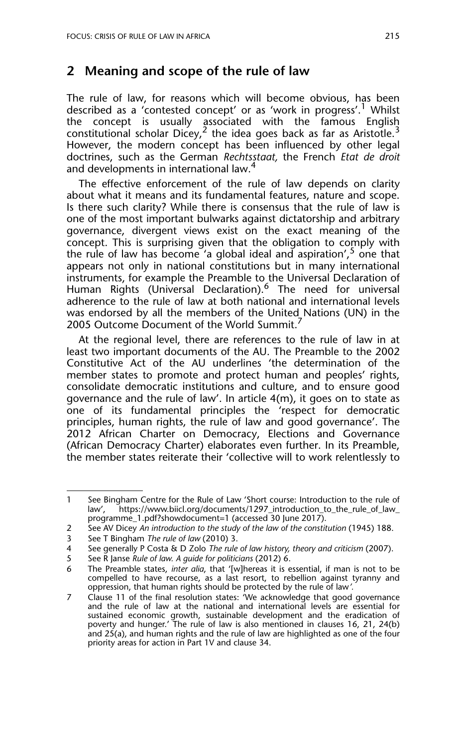#### **2 Meaning and scope of the rule of law**

The rule of law, for reasons which will become obvious, has been described as a 'contested concept' or as 'work in progress'.<sup>1</sup> Whilst the concept is usually associated with the famous English constitutional scholar Dicey,<sup>2</sup> the idea goes back as far as Aristotle.<sup>3</sup> However, the modern concept has been influenced by other legal doctrines, such as the German *Rechtsstaat,* the French *Etat de droit* and developments in international law.<sup>4</sup>

The effective enforcement of the rule of law depends on clarity about what it means and its fundamental features, nature and scope. Is there such clarity? While there is consensus that the rule of law is one of the most important bulwarks against dictatorship and arbitrary governance, divergent views exist on the exact meaning of the concept. This is surprising given that the obligation to comply with the rule of law has become 'a global ideal and aspiration',  $5$  one that appears not only in national constitutions but in many international instruments, for example the Preamble to the Universal Declaration of Human Rights (Universal Declaration).<sup>6</sup> The need for universal adherence to the rule of law at both national and international levels was endorsed by all the members of the United Nations (UN) in the 2005 Outcome Document of the World Summit.

At the regional level, there are references to the rule of law in at least two important documents of the AU. The Preamble to the 2002 Constitutive Act of the AU underlines 'the determination of the member states to promote and protect human and peoples' rights, consolidate democratic institutions and culture, and to ensure good governance and the rule of law'. In article 4(m), it goes on to state as one of its fundamental principles the 'respect for democratic principles, human rights, the rule of law and good governance'. The 2012 African Charter on Democracy, Elections and Governance (African Democracy Charter) elaborates even further. In its Preamble, the member states reiterate their 'collective will to work relentlessly to

<sup>1</sup> See Bingham Centre for the Rule of Law 'Short course: Introduction to the rule of law', https://www.biicl.org/documents/1297\_introduction\_to\_the\_rule\_of\_law\_ programme\_1.pdf?showdocument=1 (accessed 30 June 2017).

<sup>2</sup> See AV Dicey *An introduction to the study of the law of the constitution* (1945) 188.

<sup>3</sup> See T Bingham *The rule of law* (2010) 3.

<sup>4</sup> See generally P Costa & D Zolo *The rule of law history, theory and criticism* (2007).

<sup>5</sup> See R Janse *Rule of law. A guide for politicians* (2012) 6.

<sup>6</sup> The Preamble states, *inter alia*, that '[w]hereas it is essential, if man is not to be compelled to have recourse, as a last resort, to rebellion against tyranny and oppression, that human rights should be protected by the rule of law*'.*

<sup>7</sup> Clause 11 of the final resolution states: 'We acknowledge that good governance and the rule of law at the national and international levels are essential for sustained economic growth, sustainable development and the eradication of poverty and hunger.' The rule of law is also mentioned in clauses 16, 21, 24(b) and 25(a), and human rights and the rule of law are highlighted as one of the four priority areas for action in Part 1V and clause 34.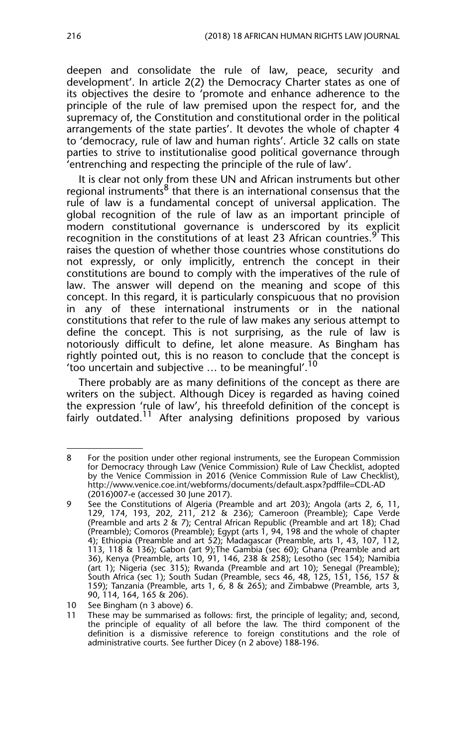deepen and consolidate the rule of law, peace, security and development'. In article 2(2) the Democracy Charter states as one of its objectives the desire to 'promote and enhance adherence to the principle of the rule of law premised upon the respect for, and the supremacy of, the Constitution and constitutional order in the political arrangements of the state parties'. It devotes the whole of chapter 4 to 'democracy, rule of law and human rights'. Article 32 calls on state parties to strive to institutionalise good political governance through 'entrenching and respecting the principle of the rule of law'.

It is clear not only from these UN and African instruments but other regional instruments<sup>8</sup> that there is an international consensus that the rule of law is a fundamental concept of universal application. The global recognition of the rule of law as an important principle of modern constitutional governance is underscored by its explicit recognition in the constitutions of at least 23 African countries.  $9$  This raises the question of whether those countries whose constitutions do not expressly, or only implicitly, entrench the concept in their constitutions are bound to comply with the imperatives of the rule of law. The answer will depend on the meaning and scope of this concept. In this regard, it is particularly conspicuous that no provision in any of these international instruments or in the national constitutions that refer to the rule of law makes any serious attempt to define the concept. This is not surprising, as the rule of law is notoriously difficult to define, let alone measure. As Bingham has rightly pointed out, this is no reason to conclude that the concept is 'too uncertain and subjective  $\ldots$  to be meaningful'.<sup>10</sup>

There probably are as many definitions of the concept as there are writers on the subject. Although Dicey is regarded as having coined the expression 'rule of law', his threefold definition of the concept is fairly outdated.<sup>11</sup> After analysing definitions proposed by various

<sup>8</sup> For the position under other regional instruments, see the European Commission for Democracy through Law (Venice Commission) Rule of Law Checklist, adopted by the Venice Commission in 2016 (Venice Commission Rule of Law Checklist), http://www.venice.coe.int/webforms/documents/default.aspx?pdffile=CDL-AD (2016)007-e (accessed 30 June 2017).

<sup>9</sup> See the Constitutions of Algeria (Preamble and art 203); Angola (arts 2, 6, 11, 129, 174, 193, 202, 211, 212 & 236); Cameroon (Preamble); Cape Verde (Preamble and arts 2 & 7); Central African Republic (Preamble and art 18); Chad (Preamble); Comoros (Preamble); Egypt (arts 1, 94, 198 and the whole of chapter 4); Ethiopia (Preamble and art 52); Madagascar (Preamble, arts 1, 43, 107, 112, 113, 118 & 136); Gabon (art 9);The Gambia (sec 60); Ghana (Preamble and art 36), Kenya (Preamble, arts 10, 91, 146, 238 & 258); Lesotho (sec 154); Namibia (art 1); Nigeria (sec 315); Rwanda (Preamble and art 10); Senegal (Preamble); South Africa (sec 1); South Sudan (Preamble, secs 46, 48, 125, 151, 156, 157 & 159); Tanzania (Preamble, arts 1, 6, 8 & 265); and Zimbabwe (Preamble, arts 3, 90, 114, 164, 165 & 206).

<sup>10</sup> See Bingham (n 3 above) 6.

<sup>11</sup> These may be summarised as follows: first, the principle of legality; and, second, the principle of equality of all before the law. The third component of the definition is a dismissive reference to foreign constitutions and the role of administrative courts. See further Dicey (n 2 above) 188-196.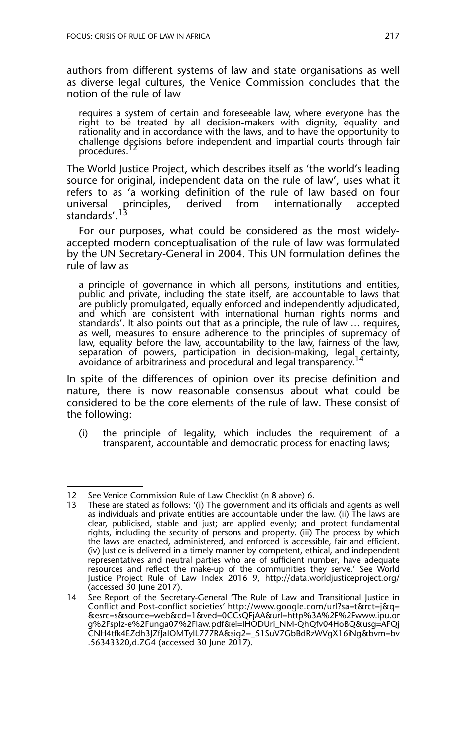authors from different systems of law and state organisations as well as diverse legal cultures, the Venice Commission concludes that the notion of the rule of law

requires a system of certain and foreseeable law, where everyone has the right to be treated by all decision-makers with dignity, equality and rationality and in accordance with the laws, and to have the opportunity to challenge decisions before independent and impartial courts through fair procedures.

The World Justice Project, which describes itself as 'the world's leading source for original, independent data on the rule of law', uses what it refers to as 'a working definition of the rule of law based on four universal principles, derived from internationally accepted standards'.<sup>13</sup>

For our purposes, what could be considered as the most widelyaccepted modern conceptualisation of the rule of law was formulated by the UN Secretary-General in 2004. This UN formulation defines the rule of law as

a principle of governance in which all persons, institutions and entities, public and private, including the state itself, are accountable to laws that are publicly promulgated, equally enforced and independently adjudicated, and which are consistent with international human rights norms and standards'. It also points out that as a principle, the rule of law … requires, as well, measures to ensure adherence to the principles of supremacy of law, equality before the law, accountability to the law, fairness of the law, separation of powers, participation in decision-making, legal certainty,<br>avoidance of arbitrariness and procedural and legal transparency.<sup>14</sup>

In spite of the differences of opinion over its precise definition and nature, there is now reasonable consensus about what could be considered to be the core elements of the rule of law. These consist of the following:

(i) the principle of legality, which includes the requirement of a transparent, accountable and democratic process for enacting laws;

<sup>12</sup> See Venice Commission Rule of Law Checklist (n 8 above) 6.

These are stated as follows: '(i) The government and its officials and agents as well as individuals and private entities are accountable under the law. (ii) The laws are clear, publicised, stable and just; are applied evenly; and protect fundamental rights, including the security of persons and property. (iii) The process by which the laws are enacted, administered, and enforced is accessible, fair and efficient. (iv) Justice is delivered in a timely manner by competent, ethical, and independent representatives and neutral parties who are of sufficient number, have adequate resources and reflect the make-up of the communities they serve.' See World Justice Project Rule of Law Index 2016 9, http://data.worldjusticeproject.org/ (accessed 30 June 2017).

<sup>14</sup> See Report of the Secretary-General 'The Rule of Law and Transitional Justice in Conflict and Post-conflict societies' http://www.google.com/url?sa=t&rct=j&q= &esrc=s&source=web&cd=1&ved=0CCsQFjAA&url=http%3A%2F%2Fwww.ipu.or g%2Fsplz-e%2Funga07%2Flaw.pdf&ei=IHODUri\_NM-QhQfv04HoBQ&usg=AFQj CNH4tfk4EZdh3JZfJaIOMTyIL777RA&sig2=\_51SuV7GbBdRzWVgX16iNg&bvm=bv .56343320,d.ZG4 (accessed 30 June 2017).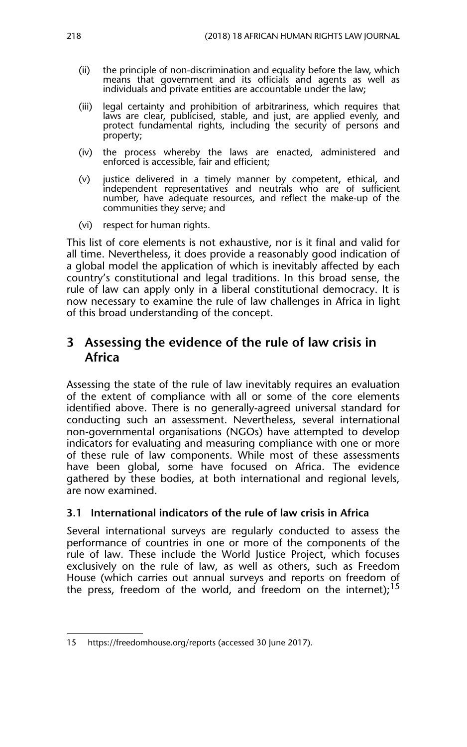- (ii) the principle of non-discrimination and equality before the law, which means that government and its officials and agents as well as individuals and private entities are accountable under the law;
- (iii) legal certainty and prohibition of arbitrariness, which requires that laws are clear, publicised, stable, and just, are applied evenly, and protect fundamental rights, including the security of persons and property;
- (iv) the process whereby the laws are enacted, administered and enforced is accessible, fair and efficient;
- (v) justice delivered in a timely manner by competent, ethical, and independent representatives and neutrals who are of sufficient number, have adequate resources, and reflect the make-up of the communities they serve; and
- (vi) respect for human rights.

This list of core elements is not exhaustive, nor is it final and valid for all time. Nevertheless, it does provide a reasonably good indication of a global model the application of which is inevitably affected by each country's constitutional and legal traditions. In this broad sense, the rule of law can apply only in a liberal constitutional democracy. It is now necessary to examine the rule of law challenges in Africa in light of this broad understanding of the concept.

## **3 Assessing the evidence of the rule of law crisis in Africa**

Assessing the state of the rule of law inevitably requires an evaluation of the extent of compliance with all or some of the core elements identified above. There is no generally-agreed universal standard for conducting such an assessment. Nevertheless, several international non-governmental organisations (NGOs) have attempted to develop indicators for evaluating and measuring compliance with one or more of these rule of law components. While most of these assessments have been global, some have focused on Africa. The evidence gathered by these bodies, at both international and regional levels, are now examined.

#### **3.1 International indicators of the rule of law crisis in Africa**

Several international surveys are regularly conducted to assess the performance of countries in one or more of the components of the rule of law. These include the World Justice Project, which focuses exclusively on the rule of law, as well as others, such as Freedom House (which carries out annual surveys and reports on freedom of the press, freedom of the world, and freedom on the internet);<sup>15</sup>

<sup>15</sup> https://freedomhouse.org/reports (accessed 30 June 2017).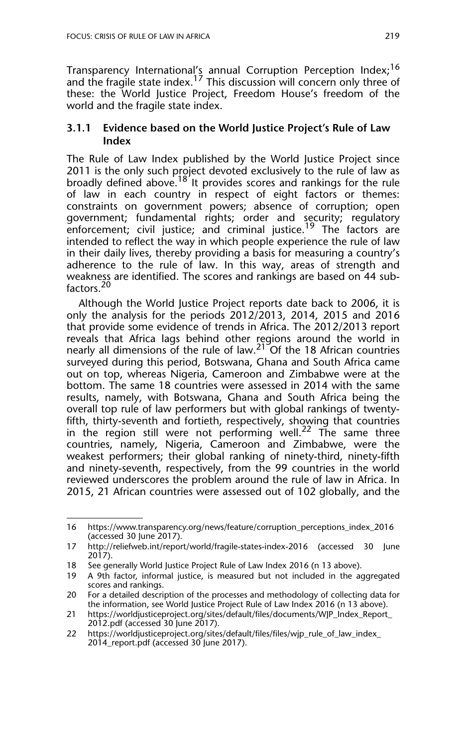Transparency International's annual Corruption Perception Index;<sup>16</sup> and the fragile state index.<sup>17</sup> This discussion will concern only three of these: the World Justice Project, Freedom House's freedom of the world and the fragile state index.

#### **3.1.1 Evidence based on the World Justice Project's Rule of Law Index**

The Rule of Law Index published by the World Justice Project since 2011 is the only such project devoted exclusively to the rule of law as broadly defined above.<sup>18</sup> It provides scores and rankings for the rule of law in each country in respect of eight factors or themes: constraints on government powers; absence of corruption; open government; fundamental rights; order and security; regulatory enforcement; civil justice; and criminal justice.<sup>19</sup> The factors are intended to reflect the way in which people experience the rule of law in their daily lives, thereby providing a basis for measuring a country's adherence to the rule of law. In this way, areas of strength and weakness are identified. The scores and rankings are based on 44 subfactors.<sup>20</sup>

Although the World Justice Project reports date back to 2006, it is only the analysis for the periods 2012/2013, 2014, 2015 and 2016 that provide some evidence of trends in Africa. The 2012/2013 report reveals that Africa lags behind other regions around the world in nearly all dimensions of the rule of law. $21^{\circ}$ Of the 18 African countries surveyed during this period, Botswana, Ghana and South Africa came out on top, whereas Nigeria, Cameroon and Zimbabwe were at the bottom. The same 18 countries were assessed in 2014 with the same results, namely, with Botswana, Ghana and South Africa being the overall top rule of law performers but with global rankings of twentyfifth, thirty-seventh and fortieth, respectively, showing that countries in the region still were not performing well.<sup>22</sup> The same three countries, namely, Nigeria, Cameroon and Zimbabwe, were the weakest performers; their global ranking of ninety-third, ninety-fifth and ninety-seventh, respectively, from the 99 countries in the world reviewed underscores the problem around the rule of law in Africa. In 2015, 21 African countries were assessed out of 102 globally, and the

<sup>16</sup> https://www.transparency.org/news/feature/corruption\_perceptions\_index\_2016 (accessed 30 June 2017).

<sup>17</sup> http://reliefweb.int/report/world/fragile-states-index-2016 (accessed 30 June 2017).

<sup>18</sup> See generally World Justice Project Rule of Law Index 2016 (n 13 above).

<sup>19</sup> A 9th factor, informal justice, is measured but not included in the aggregated scores and rankings.

<sup>20</sup> For a detailed description of the processes and methodology of collecting data for the information, see World Justice Project Rule of Law Index 2016 (n 13 above).

<sup>21</sup> https://worldjusticeproject.org/sites/default/files/documents/WJP\_Index\_Report\_ 2012.pdf (accessed 30 June 2017).

<sup>22</sup> https://worldjusticeproject.org/sites/default/files/files/wjp\_rule\_of\_law\_index\_ 2014\_report.pdf (accessed 30 June 2017).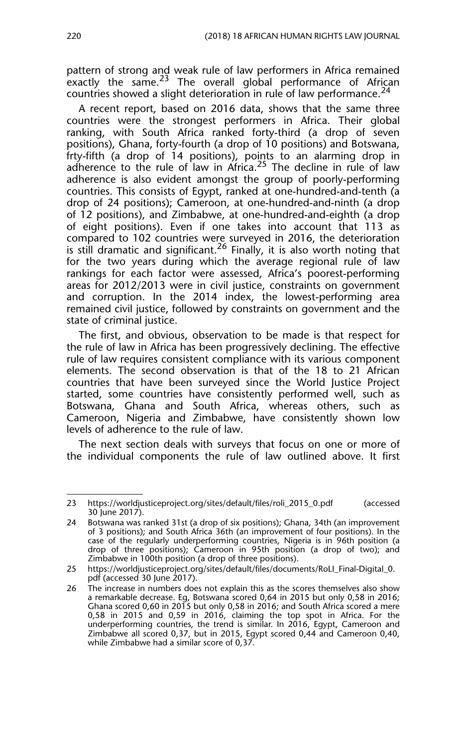pattern of strong and weak rule of law performers in Africa remained exactly the same.<sup>23</sup> The overall global performance of African countries showed a slight deterioration in rule of law performance.  $24$ 

A recent report, based on 2016 data, shows that the same three countries were the strongest performers in Africa. Their global ranking, with South Africa ranked forty-third (a drop of seven positions), Ghana, forty-fourth (a drop of 10 positions) and Botswana, frty-fifth (a drop of 14 positions), points to an alarming drop in adherence to the rule of law in Africa.<sup>25</sup> The decline in rule of law adherence is also evident amongst the group of poorly-performing countries. This consists of Egypt, ranked at one-hundred-and-tenth (a drop of 24 positions); Cameroon, at one-hundred-and-ninth (a drop of 12 positions), and Zimbabwe, at one-hundred-and-eighth (a drop of eight positions). Even if one takes into account that 113 as compared to 102 countries were surveyed in 2016, the deterioration is still dramatic and significant.<sup>26</sup> Finally, it is also worth noting that for the two years during which the average regional rule of law rankings for each factor were assessed, Africa's poorest-performing areas for 2012/2013 were in civil justice, constraints on government and corruption. In the 2014 index, the lowest-performing area remained civil justice, followed by constraints on government and the state of criminal justice.

The first, and obvious, observation to be made is that respect for the rule of law in Africa has been progressively declining. The effective rule of law requires consistent compliance with its various component elements. The second observation is that of the 18 to 21 African countries that have been surveyed since the World Justice Project started, some countries have consistently performed well, such as Botswana, Ghana and South Africa, whereas others, such as Cameroon, Nigeria and Zimbabwe, have consistently shown low levels of adherence to the rule of law.

The next section deals with surveys that focus on one or more of the individual components the rule of law outlined above. It first

<sup>23</sup> https://worldjusticeproject.org/sites/default/files/roli\_2015\_0.pdf (accessed 30 June 2017).

<sup>24</sup> Botswana was ranked 31st (a drop of six positions); Ghana, 34th (an improvement of 3 positions); and South Africa 36th (an improvement of four positions). In the case of the regularly underperforming countries, Nigeria is in 96th position (a drop of three positions); Cameroon in 95th position (a drop of two); and Zimbabwe in 100th position (a drop of three positions).

<sup>25</sup> https://worldjusticeproject.org/sites/default/files/documents/RoLI\_Final-Digital\_0. pdf (accessed 30 June 2017).

<sup>26</sup> The increase in numbers does not explain this as the scores themselves also show a remarkable decrease. Eg, Botswana scored 0,64 in 2015 but only 0,58 in 2016; Ghana scored 0,60 in 2015 but only 0,58 in 2016; and South Africa scored a mere 0,58 in 2015 and 0,59 in 2016, claiming the top spot in Africa. For the underperforming countries, the trend is similar. In 2016, Egypt, Cameroon and Zimbabwe all scored 0,37, but in 2015, Egypt scored 0,44 and Cameroon 0,40, while Zimbabwe had a similar score of 0,37.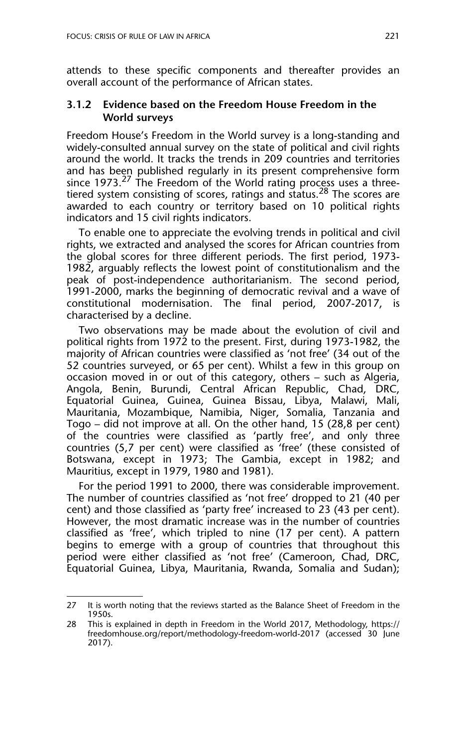attends to these specific components and thereafter provides an overall account of the performance of African states.

#### **3.1.2 Evidence based on the Freedom House Freedom in the World surveys**

Freedom House's Freedom in the World survey is a long-standing and widely-consulted annual survey on the state of political and civil rights around the world. It tracks the trends in 209 countries and territories and has been published regularly in its present comprehensive form since 1973.<sup>27</sup> The Freedom of the World rating process uses a threetiered system consisting of scores, ratings and status.<sup>28</sup> The scores are awarded to each country or territory based on 10 political rights indicators and 15 civil rights indicators.

To enable one to appreciate the evolving trends in political and civil rights, we extracted and analysed the scores for African countries from the global scores for three different periods. The first period, 1973- 1982, arguably reflects the lowest point of constitutionalism and the peak of post-independence authoritarianism. The second period, 1991-2000, marks the beginning of democratic revival and a wave of constitutional modernisation. The final period, 2007-2017, is characterised by a decline.

Two observations may be made about the evolution of civil and political rights from 1972 to the present. First, during 1973-1982, the majority of African countries were classified as 'not free' (34 out of the 52 countries surveyed, or 65 per cent). Whilst a few in this group on occasion moved in or out of this category, others – such as Algeria, Angola, Benin, Burundi, Central African Republic, Chad, DRC, Equatorial Guinea, Guinea, Guinea Bissau, Libya, Malawi, Mali, Mauritania, Mozambique, Namibia, Niger, Somalia, Tanzania and Togo – did not improve at all. On the other hand, 15 (28,8 per cent) of the countries were classified as 'partly free', and only three countries (5,7 per cent) were classified as 'free' (these consisted of Botswana, except in 1973; The Gambia, except in 1982; and Mauritius, except in 1979, 1980 and 1981).

For the period 1991 to 2000, there was considerable improvement. The number of countries classified as 'not free' dropped to 21 (40 per cent) and those classified as 'party free' increased to 23 (43 per cent). However, the most dramatic increase was in the number of countries classified as 'free', which tripled to nine (17 per cent). A pattern begins to emerge with a group of countries that throughout this period were either classified as 'not free' (Cameroon, Chad, DRC, Equatorial Guinea, Libya, Mauritania, Rwanda, Somalia and Sudan);

<sup>27</sup> It is worth noting that the reviews started as the Balance Sheet of Freedom in the 1950s.

<sup>28</sup> This is explained in depth in Freedom in the World 2017, Methodology, https:// freedomhouse.org/report/methodology-freedom-world-2017 (accessed 30 June 2017).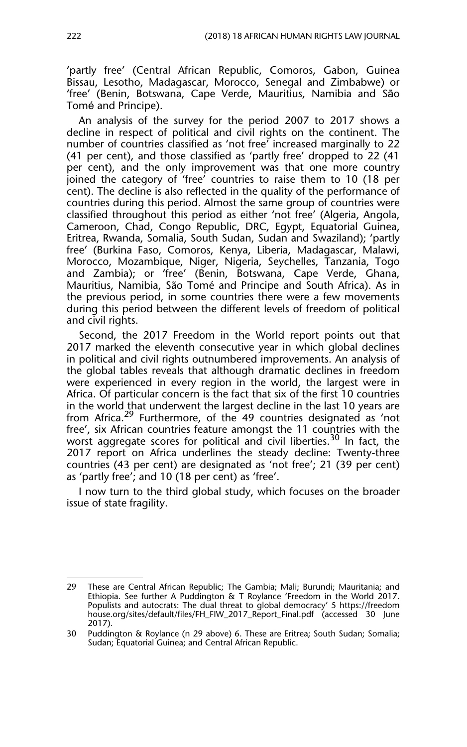'partly free' (Central African Republic, Comoros, Gabon, Guinea Bissau, Lesotho, Madagascar, Morocco, Senegal and Zimbabwe) or 'free' (Benin, Botswana, Cape Verde, Mauritius, Namibia and São Tomé and Principe).

An analysis of the survey for the period 2007 to 2017 shows a decline in respect of political and civil rights on the continent. The number of countries classified as 'not free' increased marginally to 22 (41 per cent), and those classified as 'partly free' dropped to 22 (41 per cent), and the only improvement was that one more country joined the category of 'free' countries to raise them to 10 (18 per cent). The decline is also reflected in the quality of the performance of countries during this period. Almost the same group of countries were classified throughout this period as either 'not free' (Algeria, Angola, Cameroon, Chad, Congo Republic, DRC, Egypt, Equatorial Guinea, Eritrea, Rwanda, Somalia, South Sudan, Sudan and Swaziland); 'partly free' (Burkina Faso, Comoros, Kenya, Liberia, Madagascar, Malawi, Morocco, Mozambique, Niger, Nigeria, Seychelles, Tanzania, Togo and Zambia); or 'free' (Benin, Botswana, Cape Verde, Ghana, Mauritius, Namibia, São Tomé and Principe and South Africa). As in the previous period, in some countries there were a few movements during this period between the different levels of freedom of political and civil rights.

Second, the 2017 Freedom in the World report points out that 2017 marked the eleventh consecutive year in which global declines in political and civil rights outnumbered improvements. An analysis of the global tables reveals that although dramatic declines in freedom were experienced in every region in the world, the largest were in Africa. Of particular concern is the fact that six of the first 10 countries in the world that underwent the largest decline in the last 10 years are from Africa.29 Furthermore, of the 49 countries designated as 'not free', six African countries feature amongst the 11 countries with the worst aggregate scores for political and civil liberties.<sup>30</sup> In fact, the 2017 report on Africa underlines the steady decline: Twenty-three countries (43 per cent) are designated as 'not free'; 21 (39 per cent) as 'partly free'; and 10 (18 per cent) as 'free'.

I now turn to the third global study, which focuses on the broader issue of state fragility.

<sup>29</sup> These are Central African Republic; The Gambia; Mali; Burundi; Mauritania; and Ethiopia. See further A Puddington & T Roylance 'Freedom in the World 2017. Populists and autocrats: The dual threat to global democracy' 5 https://freedom house.org/sites/default/files/FH\_FIW\_2017\_Report\_Final.pdf (accessed 30 June 2017).

<sup>30</sup> Puddington & Roylance (n 29 above) 6. These are Eritrea; South Sudan; Somalia; Sudan; Equatorial Guinea; and Central African Republic.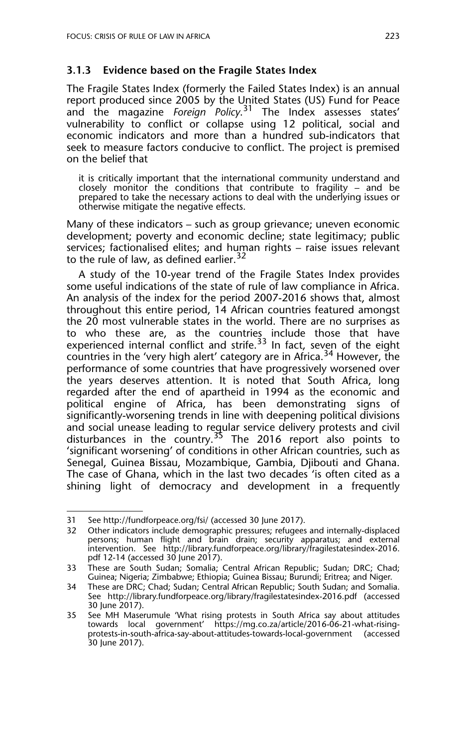#### **3.1.3 Evidence based on the Fragile States Index**

The Fragile States Index (formerly the Failed States Index) is an annual report produced since 2005 by the United States (US) Fund for Peace and the magazine *Foreign Policy*. 31 The Index assesses states' vulnerability to conflict or collapse using 12 political, social and economic indicators and more than a hundred sub-indicators that seek to measure factors conducive to conflict. The project is premised on the belief that

it is critically important that the international community understand and closely monitor the conditions that contribute to fragility  $-$  and be prepared to take the necessary actions to deal with the underlying issues or otherwise mitigate the negative effects.

Many of these indicators – such as group grievance; uneven economic development; poverty and economic decline; state legitimacy; public services; factionalised elites; and human rights – raise issues relevant to the rule of law, as defined earlier.  $32$ 

A study of the 10-year trend of the Fragile States Index provides some useful indications of the state of rule of law compliance in Africa. An analysis of the index for the period 2007-2016 shows that, almost throughout this entire period, 14 African countries featured amongst the 20 most vulnerable states in the world. There are no surprises as to who these are, as the countries include those that have experienced internal conflict and strife.<sup>33</sup> In fact, seven of the eight countries in the 'very high alert' category are in Africa.<sup>34</sup> However, the performance of some countries that have progressively worsened over the years deserves attention. It is noted that South Africa, long regarded after the end of apartheid in 1994 as the economic and political engine of Africa, has been demonstrating signs of significantly-worsening trends in line with deepening political divisions and social unease leading to regular service delivery protests and civil disturbances in the country.<sup>35</sup> The 2016 report also points to 'significant worsening' of conditions in other African countries, such as Senegal, Guinea Bissau, Mozambique, Gambia, Djibouti and Ghana. The case of Ghana, which in the last two decades 'is often cited as a shining light of democracy and development in a frequently

<sup>31</sup> See http://fundforpeace.org/fsi/ (accessed 30 June 2017).

<sup>32</sup> Other indicators include demographic pressures; refugees and internally-displaced persons; human flight and brain drain; security apparatus; and external intervention. See http://library.fundforpeace.org/library/fragilestatesindex-2016. pdf 12-14 (accessed 30 June 2017).

<sup>33</sup> These are South Sudan; Somalia; Central African Republic; Sudan; DRC; Chad; Guinea; Nigeria; Zimbabwe; Ethiopia; Guinea Bissau; Burundi; Eritrea; and Niger.

<sup>34</sup> These are DRC; Chad; Sudan; Central African Republic; South Sudan; and Somalia. See http://library.fundforpeace.org/library/fragilestatesindex-2016.pdf (accessed 30 June 2017).

<sup>35</sup> See MH Maserumule 'What rising protests in South Africa say about attitudes towards local government' https://mg.co.za/article/2016-06-21-what-risingprotests-in-south-africa-say-about-attitudes-towards-local-government (accessed 30 June 2017).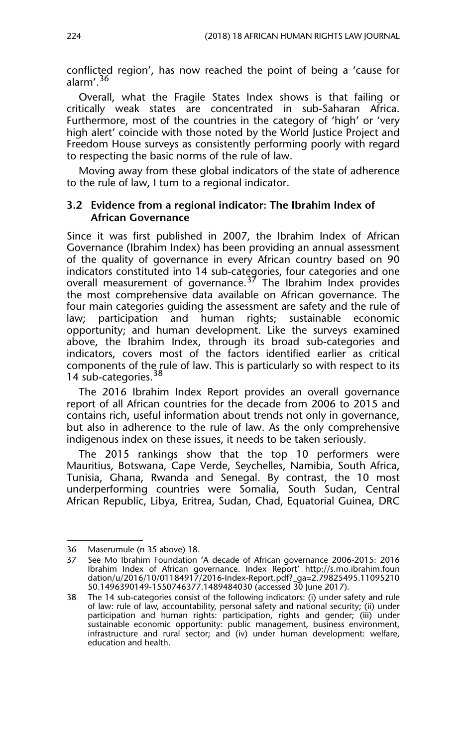conflicted region', has now reached the point of being a 'cause for alarm'.<sup>36</sup>

Overall, what the Fragile States Index shows is that failing or critically weak states are concentrated in sub-Saharan Africa. Furthermore, most of the countries in the category of 'high' or 'very high alert' coincide with those noted by the World Justice Project and Freedom House surveys as consistently performing poorly with regard to respecting the basic norms of the rule of law.

Moving away from these global indicators of the state of adherence to the rule of law, I turn to a regional indicator.

#### **3.2 Evidence from a regional indicator: The Ibrahim Index of African Governance**

Since it was first published in 2007, the Ibrahim Index of African Governance (Ibrahim Index) has been providing an annual assessment of the quality of governance in every African country based on 90 indicators constituted into 14 sub-categories, four categories and one overall measurement of governance.37 The Ibrahim Index provides the most comprehensive data available on African governance. The four main categories guiding the assessment are safety and the rule of law; participation and human rights; sustainable economic opportunity; and human development. Like the surveys examined above, the Ibrahim Index, through its broad sub-categories and indicators, covers most of the factors identified earlier as critical components of the rule of law. This is particularly so with respect to its 14 sub-categories.<sup>38</sup>

The 2016 Ibrahim Index Report provides an overall governance report of all African countries for the decade from 2006 to 2015 and contains rich, useful information about trends not only in governance, but also in adherence to the rule of law. As the only comprehensive indigenous index on these issues, it needs to be taken seriously.

The 2015 rankings show that the top 10 performers were Mauritius, Botswana, Cape Verde, Seychelles, Namibia, South Africa, Tunisia, Ghana, Rwanda and Senegal. By contrast, the 10 most underperforming countries were Somalia, South Sudan, Central African Republic, Libya, Eritrea, Sudan, Chad, Equatorial Guinea, DRC

<sup>36</sup> Maserumule (n 35 above) 18.

<sup>37</sup> See Mo Ibrahim Foundation 'A decade of African governance 2006-2015: 2016 Ibrahim Index of African governance. Index Report' http://s.mo.ibrahim.foun dation/u/2016/10/01184917/2016-Index-Report.pdf?\_ga=2.79825495.11095210 50.1496390149-1550746377.1489484030 (accessed 30 June 2017).

<sup>38</sup> The 14 sub-categories consist of the following indicators: (i) under safety and rule of law: rule of law, accountability, personal safety and national security; (ii) under participation and human rights: participation, rights and gender; (iii) under sustainable economic opportunity: public management, business environment, infrastructure and rural sector; and (iv) under human development: welfare, education and health.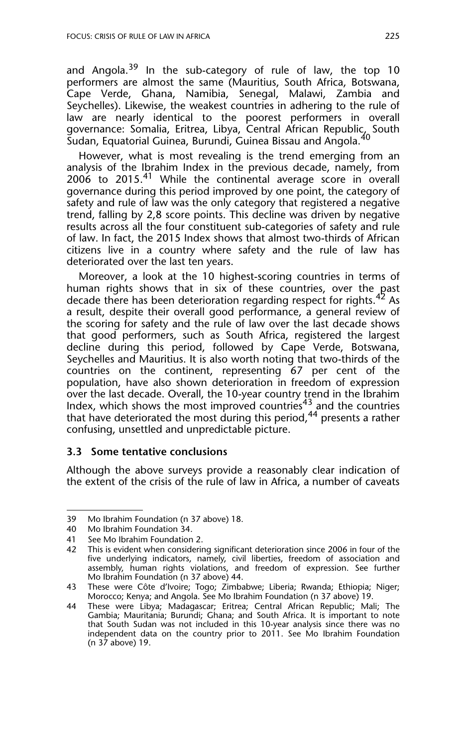and Angola.<sup>39</sup> In the sub-category of rule of law, the top 10 performers are almost the same (Mauritius, South Africa, Botswana, Cape Verde, Ghana, Namibia, Senegal, Malawi, Zambia and Seychelles). Likewise, the weakest countries in adhering to the rule of law are nearly identical to the poorest performers in overall governance: Somalia, Eritrea, Libya, Central African Republic, South Sudan, Equatorial Guinea, Burundi, Guinea Bissau and Angola.<sup>40</sup>

However, what is most revealing is the trend emerging from an analysis of the Ibrahim Index in the previous decade, namely, from  $2006$  to  $2015.<sup>41</sup>$  While the continental average score in overall governance during this period improved by one point, the category of safety and rule of law was the only category that registered a negative trend, falling by 2,8 score points. This decline was driven by negative results across all the four constituent sub-categories of safety and rule of law. In fact, the 2015 Index shows that almost two-thirds of African citizens live in a country where safety and the rule of law has deteriorated over the last ten years.

Moreover, a look at the 10 highest-scoring countries in terms of human rights shows that in six of these countries, over the past decade there has been deterioration regarding respect for rights.<sup>42</sup> As a result, despite their overall good performance, a general review of the scoring for safety and the rule of law over the last decade shows that good performers, such as South Africa, registered the largest decline during this period, followed by Cape Verde, Botswana, Seychelles and Mauritius. It is also worth noting that two-thirds of the countries on the continent, representing 67 per cent of the population, have also shown deterioration in freedom of expression over the last decade. Overall, the 10-year country trend in the Ibrahim Index, which shows the most improved countries<sup>43</sup> and the countries that have deteriorated the most during this period,<sup>44</sup> presents a rather confusing, unsettled and unpredictable picture.

#### **3.3 Some tentative conclusions**

Although the above surveys provide a reasonably clear indication of the extent of the crisis of the rule of law in Africa, a number of caveats

<sup>39</sup> Mo Ibrahim Foundation (n 37 above) 18.

<sup>40</sup> Mo Ibrahim Foundation 34.

<sup>41</sup> See Mo Ibrahim Foundation 2.

<sup>42</sup> This is evident when considering significant deterioration since 2006 in four of the five underlying indicators, namely, civil liberties, freedom of association and assembly, human rights violations, and freedom of expression. See further Mo Ibrahim Foundation (n 37 above) 44.

<sup>43</sup> These were Côte d'Ivoire; Togo; Zimbabwe; Liberia; Rwanda; Ethiopia; Niger; Morocco; Kenya; and Angola. See Mo Ibrahim Foundation (n 37 above) 19.

<sup>44</sup> These were Libya; Madagascar; Eritrea; Central African Republic; Mali; The Gambia; Mauritania; Burundi; Ghana; and South Africa. It is important to note that South Sudan was not included in this 10-year analysis since there was no independent data on the country prior to 2011. See Mo Ibrahim Foundation (n 37 above) 19.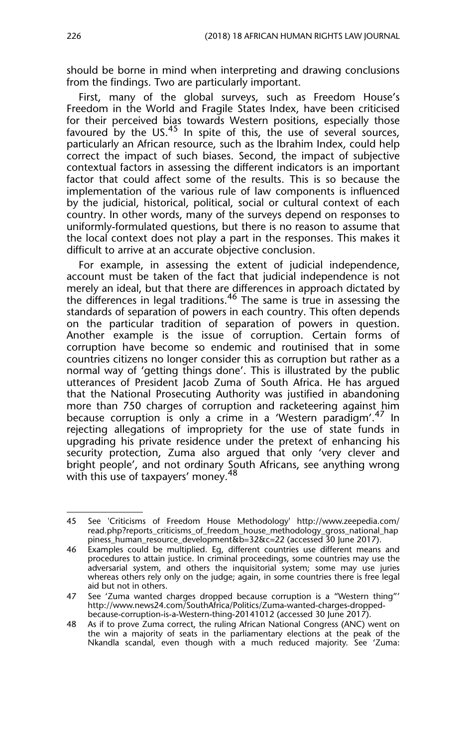should be borne in mind when interpreting and drawing conclusions from the findings. Two are particularly important.

First, many of the global surveys, such as Freedom House's Freedom in the World and Fragile States Index, have been criticised for their perceived bias towards Western positions, especially those favoured by the US.<sup>45</sup> In spite of this, the use of several sources, particularly an African resource, such as the Ibrahim Index, could help correct the impact of such biases. Second, the impact of subjective contextual factors in assessing the different indicators is an important factor that could affect some of the results. This is so because the implementation of the various rule of law components is influenced by the judicial, historical, political, social or cultural context of each country. In other words, many of the surveys depend on responses to uniformly-formulated questions, but there is no reason to assume that the local context does not play a part in the responses. This makes it difficult to arrive at an accurate objective conclusion.

For example, in assessing the extent of judicial independence, account must be taken of the fact that judicial independence is not merely an ideal, but that there are differences in approach dictated by the differences in legal traditions.<sup>46</sup> The same is true in assessing the standards of separation of powers in each country. This often depends on the particular tradition of separation of powers in question. Another example is the issue of corruption. Certain forms of corruption have become so endemic and routinised that in some countries citizens no longer consider this as corruption but rather as a normal way of 'getting things done'. This is illustrated by the public utterances of President Jacob Zuma of South Africa. He has argued that the National Prosecuting Authority was justified in abandoning more than 750 charges of corruption and racketeering against him because corruption is only a crime in a 'Western paradigm'.<sup>47</sup> In rejecting allegations of impropriety for the use of state funds in upgrading his private residence under the pretext of enhancing his security protection, Zuma also argued that only 'very clever and bright people', and not ordinary South Africans, see anything wrong with this use of taxpayers' money.<sup>48</sup>

<sup>45</sup> See 'Criticisms of Freedom House Methodology' http://www.zeepedia.com/ read.php?reports\_criticisms\_of\_freedom\_house\_methodology\_gross\_national\_hap piness\_human\_resource\_development&b=32&c=22 (accessed 30 June 2017).

<sup>46</sup> Examples could be multiplied. Eg, different countries use different means and procedures to attain justice. In criminal proceedings, some countries may use the adversarial system, and others the inquisitorial system; some may use juries whereas others rely only on the judge; again, in some countries there is free legal aid but not in others.

<sup>47</sup> See 'Zuma wanted charges dropped because corruption is a "Western thing"' http://www.news24.com/SouthAfrica/Politics/Zuma-wanted-charges-droppedbecause-corruption-is-a-Western-thing-20141012 (accessed 30 June 2017).

<sup>48</sup> As if to prove Zuma correct, the ruling African National Congress (ANC) went on the win a majority of seats in the parliamentary elections at the peak of the Nkandla scandal, even though with a much reduced majority. See 'Zuma: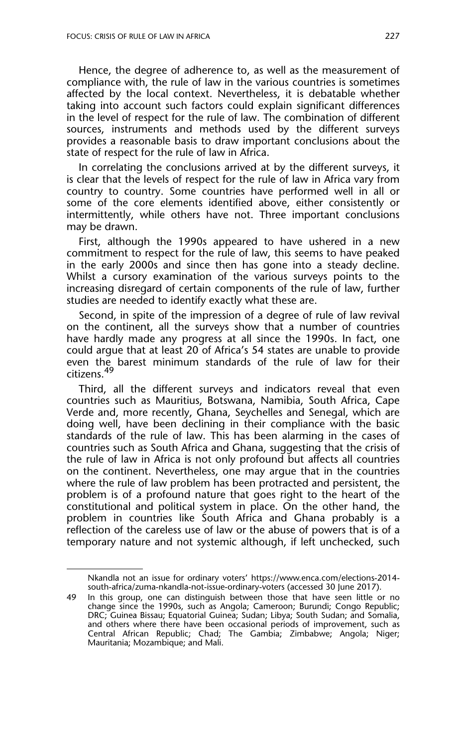Hence, the degree of adherence to, as well as the measurement of compliance with, the rule of law in the various countries is sometimes affected by the local context. Nevertheless, it is debatable whether taking into account such factors could explain significant differences in the level of respect for the rule of law. The combination of different sources, instruments and methods used by the different surveys provides a reasonable basis to draw important conclusions about the state of respect for the rule of law in Africa.

In correlating the conclusions arrived at by the different surveys, it is clear that the levels of respect for the rule of law in Africa vary from country to country. Some countries have performed well in all or some of the core elements identified above, either consistently or intermittently, while others have not. Three important conclusions may be drawn.

First, although the 1990s appeared to have ushered in a new commitment to respect for the rule of law, this seems to have peaked in the early 2000s and since then has gone into a steady decline. Whilst a cursory examination of the various surveys points to the increasing disregard of certain components of the rule of law, further studies are needed to identify exactly what these are.

Second, in spite of the impression of a degree of rule of law revival on the continent, all the surveys show that a number of countries have hardly made any progress at all since the 1990s. In fact, one could argue that at least 20 of Africa's 54 states are unable to provide even the barest minimum standards of the rule of law for their citizens.<sup>49</sup>

Third, all the different surveys and indicators reveal that even countries such as Mauritius, Botswana, Namibia, South Africa, Cape Verde and, more recently, Ghana, Seychelles and Senegal, which are doing well, have been declining in their compliance with the basic standards of the rule of law. This has been alarming in the cases of countries such as South Africa and Ghana, suggesting that the crisis of the rule of law in Africa is not only profound but affects all countries on the continent. Nevertheless, one may argue that in the countries where the rule of law problem has been protracted and persistent, the problem is of a profound nature that goes right to the heart of the constitutional and political system in place. On the other hand, the problem in countries like South Africa and Ghana probably is a reflection of the careless use of law or the abuse of powers that is of a temporary nature and not systemic although, if left unchecked, such

Nkandla not an issue for ordinary voters' https://www.enca.com/elections-2014south-africa/zuma-nkandla-not-issue-ordinary-voters (accessed 30 June 2017).

<sup>49</sup> In this group, one can distinguish between those that have seen little or no change since the 1990s, such as Angola; Cameroon; Burundi; Congo Republic; DRC; Guinea Bissau; Equatorial Guinea; Sudan; Libya; South Sudan; and Somalia, and others where there have been occasional periods of improvement, such as Central African Republic; Chad; The Gambia; Zimbabwe; Angola; Niger; Mauritania; Mozambique; and Mali.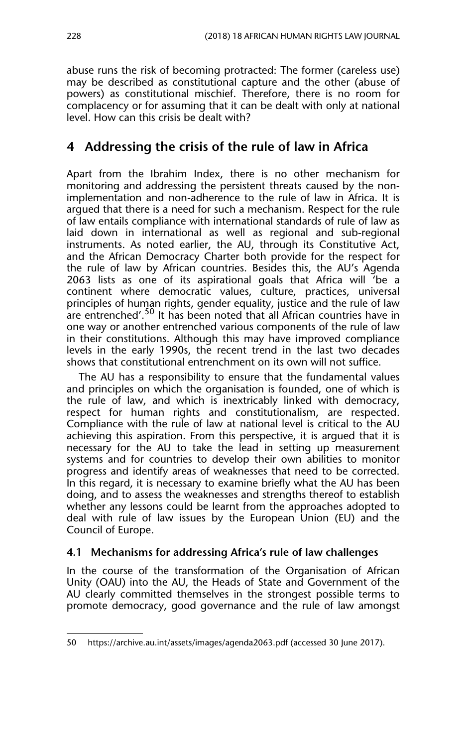abuse runs the risk of becoming protracted: The former (careless use) may be described as constitutional capture and the other (abuse of powers) as constitutional mischief. Therefore, there is no room for complacency or for assuming that it can be dealt with only at national level. How can this crisis be dealt with?

## **4 Addressing the crisis of the rule of law in Africa**

Apart from the Ibrahim Index, there is no other mechanism for monitoring and addressing the persistent threats caused by the nonimplementation and non-adherence to the rule of law in Africa. It is argued that there is a need for such a mechanism. Respect for the rule of law entails compliance with international standards of rule of law as laid down in international as well as regional and sub-regional instruments. As noted earlier, the AU, through its Constitutive Act, and the African Democracy Charter both provide for the respect for the rule of law by African countries. Besides this, the AU's Agenda 2063 lists as one of its aspirational goals that Africa will 'be a continent where democratic values, culture, practices, universal principles of human rights, gender equality, justice and the rule of law are entrenched'.<sup>50</sup> It has been noted that all African countries have in one way or another entrenched various components of the rule of law in their constitutions. Although this may have improved compliance levels in the early 1990s, the recent trend in the last two decades shows that constitutional entrenchment on its own will not suffice.

The AU has a responsibility to ensure that the fundamental values and principles on which the organisation is founded, one of which is the rule of law, and which is inextricably linked with democracy, respect for human rights and constitutionalism, are respected. Compliance with the rule of law at national level is critical to the AU achieving this aspiration. From this perspective, it is argued that it is necessary for the AU to take the lead in setting up measurement systems and for countries to develop their own abilities to monitor progress and identify areas of weaknesses that need to be corrected. In this regard, it is necessary to examine briefly what the AU has been doing, and to assess the weaknesses and strengths thereof to establish whether any lessons could be learnt from the approaches adopted to deal with rule of law issues by the European Union (EU) and the Council of Europe.

#### **4.1 Mechanisms for addressing Africa's rule of law challenges**

In the course of the transformation of the Organisation of African Unity (OAU) into the AU, the Heads of State and Government of the AU clearly committed themselves in the strongest possible terms to promote democracy, good governance and the rule of law amongst

<sup>50</sup> https://archive.au.int/assets/images/agenda2063.pdf (accessed 30 June 2017).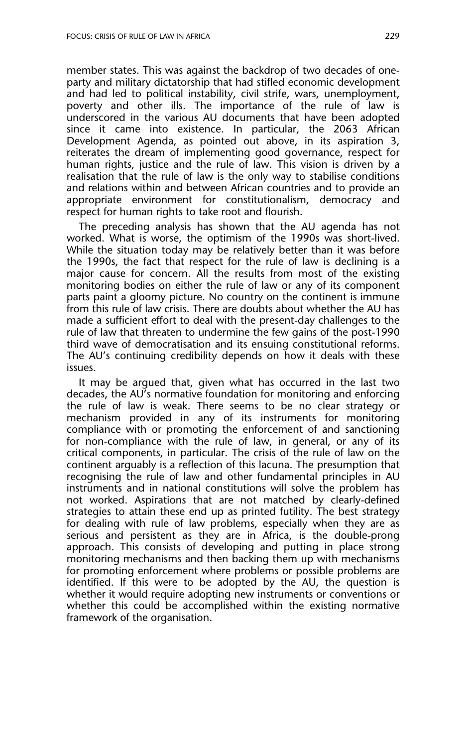member states. This was against the backdrop of two decades of oneparty and military dictatorship that had stifled economic development and had led to political instability, civil strife, wars, unemployment, poverty and other ills. The importance of the rule of law is underscored in the various AU documents that have been adopted since it came into existence. In particular, the 2063 African Development Agenda, as pointed out above, in its aspiration 3, reiterates the dream of implementing good governance, respect for human rights, justice and the rule of law. This vision is driven by a realisation that the rule of law is the only way to stabilise conditions and relations within and between African countries and to provide an appropriate environment for constitutionalism, democracy and respect for human rights to take root and flourish.

The preceding analysis has shown that the AU agenda has not worked. What is worse, the optimism of the 1990s was short-lived. While the situation today may be relatively better than it was before the 1990s, the fact that respect for the rule of law is declining is a major cause for concern. All the results from most of the existing monitoring bodies on either the rule of law or any of its component parts paint a gloomy picture. No country on the continent is immune from this rule of law crisis. There are doubts about whether the AU has made a sufficient effort to deal with the present-day challenges to the rule of law that threaten to undermine the few gains of the post-1990 third wave of democratisation and its ensuing constitutional reforms. The AU's continuing credibility depends on how it deals with these issues.

It may be argued that, given what has occurred in the last two decades, the AU's normative foundation for monitoring and enforcing the rule of law is weak. There seems to be no clear strategy or mechanism provided in any of its instruments for monitoring compliance with or promoting the enforcement of and sanctioning for non-compliance with the rule of law, in general, or any of its critical components, in particular. The crisis of the rule of law on the continent arguably is a reflection of this lacuna. The presumption that recognising the rule of law and other fundamental principles in AU instruments and in national constitutions will solve the problem has not worked. Aspirations that are not matched by clearly-defined strategies to attain these end up as printed futility. The best strategy for dealing with rule of law problems, especially when they are as serious and persistent as they are in Africa, is the double-prong approach. This consists of developing and putting in place strong monitoring mechanisms and then backing them up with mechanisms for promoting enforcement where problems or possible problems are identified. If this were to be adopted by the AU, the question is whether it would require adopting new instruments or conventions or whether this could be accomplished within the existing normative framework of the organisation.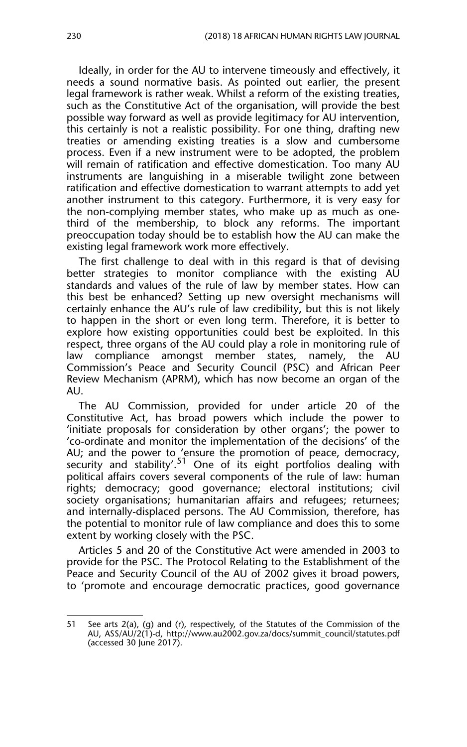Ideally, in order for the AU to intervene timeously and effectively, it needs a sound normative basis. As pointed out earlier, the present legal framework is rather weak. Whilst a reform of the existing treaties, such as the Constitutive Act of the organisation, will provide the best possible way forward as well as provide legitimacy for AU intervention, this certainly is not a realistic possibility. For one thing, drafting new treaties or amending existing treaties is a slow and cumbersome process. Even if a new instrument were to be adopted, the problem will remain of ratification and effective domestication. Too many AU instruments are languishing in a miserable twilight zone between ratification and effective domestication to warrant attempts to add yet another instrument to this category. Furthermore, it is very easy for the non-complying member states, who make up as much as onethird of the membership, to block any reforms. The important preoccupation today should be to establish how the AU can make the existing legal framework work more effectively.

The first challenge to deal with in this regard is that of devising better strategies to monitor compliance with the existing AU standards and values of the rule of law by member states. How can this best be enhanced? Setting up new oversight mechanisms will certainly enhance the AU's rule of law credibility, but this is not likely to happen in the short or even long term. Therefore, it is better to explore how existing opportunities could best be exploited. In this respect, three organs of the AU could play a role in monitoring rule of law compliance amongst member states, namely, the AU Commission's Peace and Security Council (PSC) and African Peer Review Mechanism (APRM), which has now become an organ of the AU.

The AU Commission, provided for under article 20 of the Constitutive Act, has broad powers which include the power to 'initiate proposals for consideration by other organs'; the power to 'co-ordinate and monitor the implementation of the decisions' of the AU; and the power to 'ensure the promotion of peace, democracy, security and stability'.<sup>51</sup> One of its eight portfolios dealing with political affairs covers several components of the rule of law: human rights; democracy; good governance; electoral institutions; civil society organisations; humanitarian affairs and refugees; returnees; and internally-displaced persons. The AU Commission, therefore, has the potential to monitor rule of law compliance and does this to some extent by working closely with the PSC.

Articles 5 and 20 of the Constitutive Act were amended in 2003 to provide for the PSC. The Protocol Relating to the Establishment of the Peace and Security Council of the AU of 2002 gives it broad powers, to 'promote and encourage democratic practices, good governance

<sup>51</sup> See arts 2(a), (g) and (r), respectively, of the Statutes of the Commission of the AU, ASS/AU/2(1)-d, http://www.au2002.gov.za/docs/summit\_council/statutes.pdf (accessed 30 June 2017).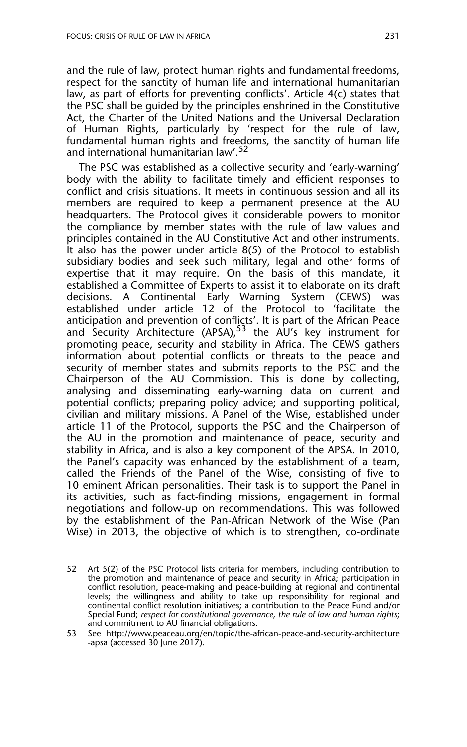and the rule of law, protect human rights and fundamental freedoms, respect for the sanctity of human life and international humanitarian law, as part of efforts for preventing conflicts'. Article 4(c) states that the PSC shall be guided by the principles enshrined in the Constitutive Act, the Charter of the United Nations and the Universal Declaration of Human Rights, particularly by 'respect for the rule of law, fundamental human rights and freedoms, the sanctity of human life and international humanitarian law'.<sup>52</sup>

The PSC was established as a collective security and 'early-warning' body with the ability to facilitate timely and efficient responses to conflict and crisis situations. It meets in continuous session and all its members are required to keep a permanent presence at the AU headquarters. The Protocol gives it considerable powers to monitor the compliance by member states with the rule of law values and principles contained in the AU Constitutive Act and other instruments. It also has the power under article 8(5) of the Protocol to establish subsidiary bodies and seek such military, legal and other forms of expertise that it may require. On the basis of this mandate, it established a Committee of Experts to assist it to elaborate on its draft decisions. A Continental Early Warning System (CEWS) was established under article 12 of the Protocol to 'facilitate the anticipation and prevention of conflicts'. It is part of the African Peace and Security Architecture (APSA),  $53$  the AU's key instrument for promoting peace, security and stability in Africa. The CEWS gathers information about potential conflicts or threats to the peace and security of member states and submits reports to the PSC and the Chairperson of the AU Commission. This is done by collecting, analysing and disseminating early-warning data on current and potential conflicts; preparing policy advice; and supporting political, civilian and military missions. A Panel of the Wise, established under article 11 of the Protocol, supports the PSC and the Chairperson of the AU in the promotion and maintenance of peace, security and stability in Africa, and is also a key component of the APSA. In 2010, the Panel's capacity was enhanced by the establishment of a team, called the Friends of the Panel of the Wise, consisting of five to 10 eminent African personalities. Their task is to support the Panel in its activities, such as fact-finding missions, engagement in formal negotiations and follow-up on recommendations. This was followed by the establishment of the Pan-African Network of the Wise (Pan Wise) in 2013, the objective of which is to strengthen, co-ordinate

<sup>52</sup> Art 5(2) of the PSC Protocol lists criteria for members, including contribution to the promotion and maintenance of peace and security in Africa; participation in conflict resolution, peace-making and peace-building at regional and continental levels; the willingness and ability to take up responsibility for regional and continental conflict resolution initiatives; a contribution to the Peace Fund and/or Special Fund; *respect for constitutional governance, the rule of law and human rights*; and commitment to AU financial obligations.

<sup>53</sup> See http://www.peaceau.org/en/topic/the-african-peace-and-security-architecture -apsa (accessed 30 June 2017).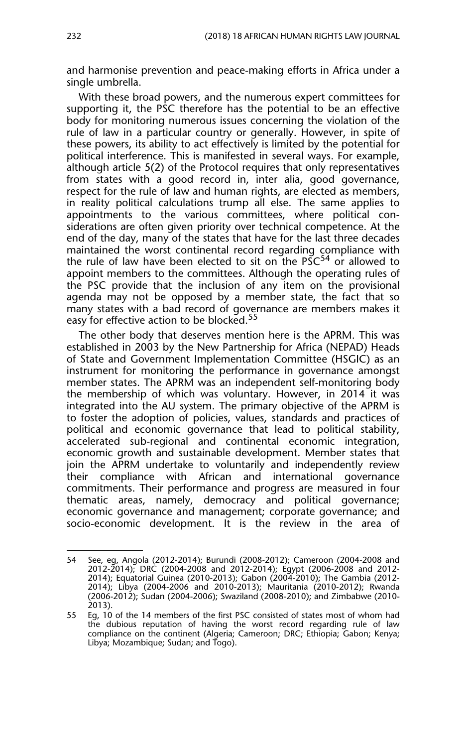and harmonise prevention and peace-making efforts in Africa under a single umbrella.

With these broad powers, and the numerous expert committees for supporting it, the PSC therefore has the potential to be an effective body for monitoring numerous issues concerning the violation of the rule of law in a particular country or generally. However, in spite of these powers, its ability to act effectively is limited by the potential for political interference. This is manifested in several ways. For example, although article 5(2) of the Protocol requires that only representatives from states with a good record in, inter alia, good governance, respect for the rule of law and human rights, are elected as members, in reality political calculations trump all else. The same applies to appointments to the various committees, where political considerations are often given priority over technical competence. At the end of the day, many of the states that have for the last three decades maintained the worst continental record regarding compliance with the rule of law have been elected to sit on the  $P\tilde{S}C^{54}$  or allowed to appoint members to the committees. Although the operating rules of the PSC provide that the inclusion of any item on the provisional agenda may not be opposed by a member state, the fact that so many states with a bad record of governance are members makes it easy for effective action to be blocked.<sup>55</sup>

The other body that deserves mention here is the APRM. This was established in 2003 by the New Partnership for Africa (NEPAD) Heads of State and Government Implementation Committee (HSGIC) as an instrument for monitoring the performance in governance amongst member states. The APRM was an independent self-monitoring body the membership of which was voluntary. However, in 2014 it was integrated into the AU system. The primary objective of the APRM is to foster the adoption of policies, values, standards and practices of political and economic governance that lead to political stability, accelerated sub-regional and continental economic integration, economic growth and sustainable development. Member states that join the APRM undertake to voluntarily and independently review their compliance with African and international governance commitments. Their performance and progress are measured in four thematic areas, namely, democracy and political governance; economic governance and management; corporate governance; and socio-economic development. It is the review in the area of

<sup>54</sup> See, eg, Angola (2012-2014); Burundi (2008-2012); Cameroon (2004-2008 and 2012-2014); DRC (2004-2008 and 2012-2014); Egypt (2006-2008 and 2012- 2014); Equatorial Guinea (2010-2013); Gabon (2004-2010); The Gambia (2012- 2014); Libya (2004-2006 and 2010-2013); Mauritania (2010-2012); Rwanda (2006-2012); Sudan (2004-2006); Swaziland (2008-2010); and Zimbabwe (2010- 2013).

<sup>55</sup> Eg, 10 of the 14 members of the first PSC consisted of states most of whom had the dubious reputation of having the worst record regarding rule of law compliance on the continent (Algeria; Cameroon; DRC; Ethiopia; Gabon; Kenya; Libya; Mozambique; Sudan; and Togo).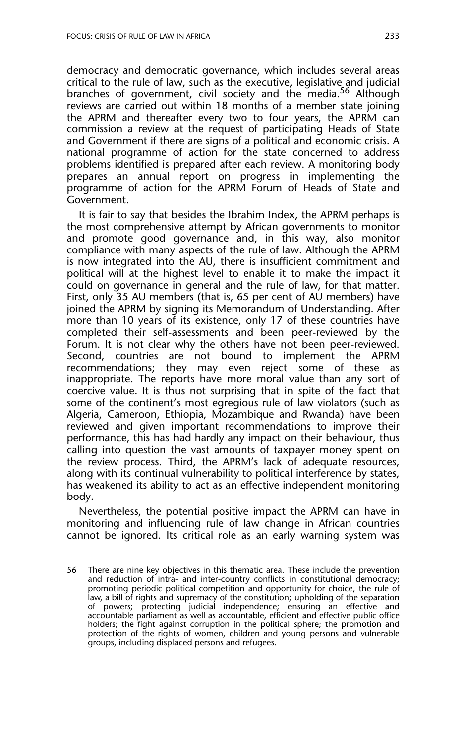democracy and democratic governance, which includes several areas critical to the rule of law, such as the executive, legislative and judicial branches of government, civil society and the media.<sup>56</sup> Although reviews are carried out within 18 months of a member state joining the APRM and thereafter every two to four years, the APRM can commission a review at the request of participating Heads of State and Government if there are signs of a political and economic crisis. A national programme of action for the state concerned to address problems identified is prepared after each review. A monitoring body prepares an annual report on progress in implementing the programme of action for the APRM Forum of Heads of State and Government.

It is fair to say that besides the Ibrahim Index, the APRM perhaps is the most comprehensive attempt by African governments to monitor and promote good governance and, in this way, also monitor compliance with many aspects of the rule of law. Although the APRM is now integrated into the AU, there is insufficient commitment and political will at the highest level to enable it to make the impact it could on governance in general and the rule of law, for that matter. First, only 35 AU members (that is, 65 per cent of AU members) have joined the APRM by signing its Memorandum of Understanding. After more than 10 years of its existence, only 17 of these countries have completed their self-assessments and been peer-reviewed by the Forum. It is not clear why the others have not been peer-reviewed. Second, countries are not bound to implement the APRM recommendations; they may even reject some of these as inappropriate. The reports have more moral value than any sort of coercive value. It is thus not surprising that in spite of the fact that some of the continent's most egregious rule of law violators (such as Algeria, Cameroon, Ethiopia, Mozambique and Rwanda) have been reviewed and given important recommendations to improve their performance, this has had hardly any impact on their behaviour, thus calling into question the vast amounts of taxpayer money spent on the review process. Third, the APRM's lack of adequate resources, along with its continual vulnerability to political interference by states, has weakened its ability to act as an effective independent monitoring body.

Nevertheless, the potential positive impact the APRM can have in monitoring and influencing rule of law change in African countries cannot be ignored. Its critical role as an early warning system was

<sup>56</sup> There are nine key objectives in this thematic area. These include the prevention and reduction of intra- and inter-country conflicts in constitutional democracy; promoting periodic political competition and opportunity for choice, the rule of law, a bill of rights and supremacy of the constitution; upholding of the separation of powers; protecting judicial independence; ensuring an effective and accountable parliament as well as accountable, efficient and effective public office holders; the fight against corruption in the political sphere; the promotion and protection of the rights of women, children and young persons and vulnerable groups, including displaced persons and refugees.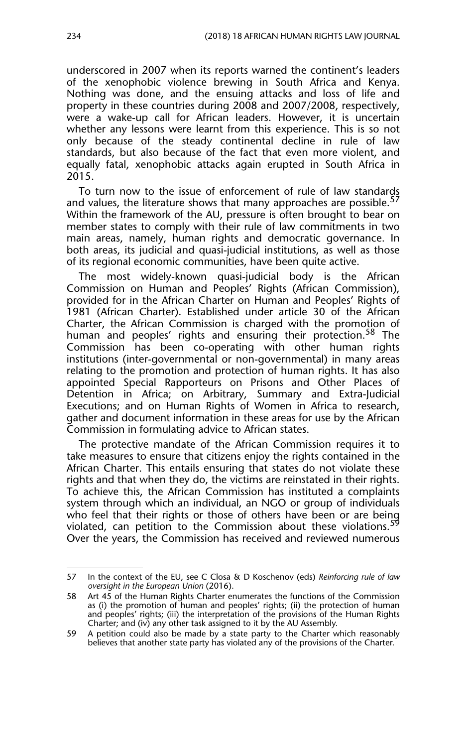underscored in 2007 when its reports warned the continent's leaders of the xenophobic violence brewing in South Africa and Kenya. Nothing was done, and the ensuing attacks and loss of life and property in these countries during 2008 and 2007/2008, respectively, were a wake-up call for African leaders. However, it is uncertain whether any lessons were learnt from this experience. This is so not only because of the steady continental decline in rule of law standards, but also because of the fact that even more violent, and equally fatal, xenophobic attacks again erupted in South Africa in 2015.

To turn now to the issue of enforcement of rule of law standards and values, the literature shows that many approaches are possible.<sup>57</sup> Within the framework of the AU, pressure is often brought to bear on member states to comply with their rule of law commitments in two main areas, namely, human rights and democratic governance. In both areas, its judicial and quasi-judicial institutions, as well as those of its regional economic communities, have been quite active.

The most widely-known quasi-judicial body is the African Commission on Human and Peoples' Rights (African Commission), provided for in the African Charter on Human and Peoples' Rights of 1981 (African Charter). Established under article 30 of the African Charter, the African Commission is charged with the promotion of human and peoples' rights and ensuring their protection.<sup>58</sup> The Commission has been co-operating with other human rights institutions (inter-governmental or non-governmental) in many areas relating to the promotion and protection of human rights. It has also appointed Special Rapporteurs on Prisons and Other Places of Detention in Africa; on Arbitrary, Summary and Extra-Judicial Executions; and on Human Rights of Women in Africa to research, gather and document information in these areas for use by the African Commission in formulating advice to African states.

The protective mandate of the African Commission requires it to take measures to ensure that citizens enjoy the rights contained in the African Charter. This entails ensuring that states do not violate these rights and that when they do, the victims are reinstated in their rights. To achieve this, the African Commission has instituted a complaints system through which an individual, an NGO or group of individuals who feel that their rights or those of others have been or are being violated, can petition to the Commission about these violations.<sup>59</sup> Over the years, the Commission has received and reviewed numerous

<sup>57</sup> In the context of the EU, see C Closa & D Koschenov (eds) *Reinforcing rule of law oversight in the European Union* (2016).

<sup>58</sup> Art 45 of the Human Rights Charter enumerates the functions of the Commission as (i) the promotion of human and peoples' rights; (ii) the protection of human and peoples' rights; (iii) the interpretation of the provisions of the Human Rights Charter; and (iv) any other task assigned to it by the AU Assembly.

<sup>59</sup> A petition could also be made by a state party to the Charter which reasonably believes that another state party has violated any of the provisions of the Charter.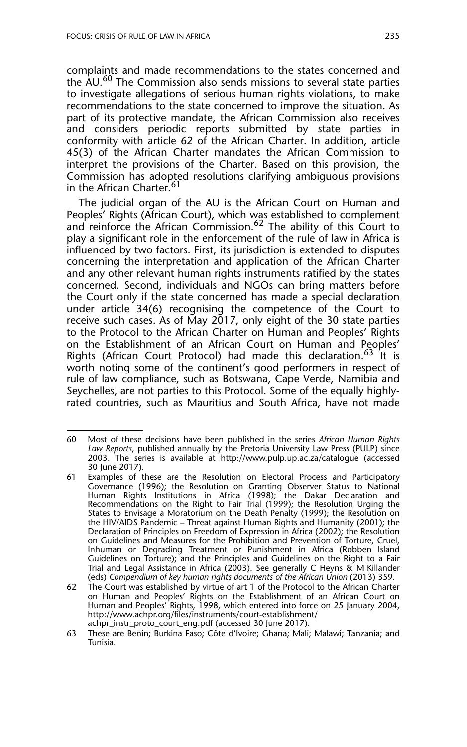complaints and made recommendations to the states concerned and the AU.<sup>60</sup> The Commission also sends missions to several state parties to investigate allegations of serious human rights violations, to make recommendations to the state concerned to improve the situation. As part of its protective mandate, the African Commission also receives and considers periodic reports submitted by state parties in conformity with article 62 of the African Charter. In addition, article 45(3) of the African Charter mandates the African Commission to interpret the provisions of the Charter. Based on this provision, the Commission has adopted resolutions clarifying ambiguous provisions in the African Charter.<sup>61</sup>

The judicial organ of the AU is the African Court on Human and Peoples' Rights (African Court), which was established to complement and reinforce the African Commission.<sup>62</sup> The ability of this Court to play a significant role in the enforcement of the rule of law in Africa is influenced by two factors. First, its jurisdiction is extended to disputes concerning the interpretation and application of the African Charter and any other relevant human rights instruments ratified by the states concerned. Second, individuals and NGOs can bring matters before the Court only if the state concerned has made a special declaration under article 34(6) recognising the competence of the Court to receive such cases. As of May 2017, only eight of the 30 state parties to the Protocol to the African Charter on Human and Peoples' Rights on the Establishment of an African Court on Human and Peoples' Rights (African Court Protocol) had made this declaration.<sup>63</sup> It is worth noting some of the continent's good performers in respect of rule of law compliance, such as Botswana, Cape Verde, Namibia and Seychelles, are not parties to this Protocol. Some of the equally highlyrated countries, such as Mauritius and South Africa, have not made

<sup>60</sup> Most of these decisions have been published in the series *African Human Rights Law Reports*, published annually by the Pretoria University Law Press (PULP) since 2003. The series is available at http://www.pulp.up.ac.za/catalogue (accessed 30 June 2017).

<sup>61</sup> Examples of these are the Resolution on Electoral Process and Participatory Governance (1996); the Resolution on Granting Observer Status to National Human Rights Institutions in Africa (1998); the Dakar Declaration and Recommendations on the Right to Fair Trial (1999); the Resolution Urging the States to Envisage a Moratorium on the Death Penalty (1999); the Resolution on the HIV/AIDS Pandemic – Threat against Human Rights and Humanity (2001); the Declaration of Principles on Freedom of Expression in Africa (2002); the Resolution on Guidelines and Measures for the Prohibition and Prevention of Torture, Cruel, Inhuman or Degrading Treatment or Punishment in Africa (Robben Island Guidelines on Torture); and the Principles and Guidelines on the Right to a Fair Trial and Legal Assistance in Africa (2003). See generally C Heyns & M Killander (eds) *Compendium of key human rights documents of the African Union* (2013) 359.

<sup>62</sup> The Court was established by virtue of art 1 of the Protocol to the African Charter on Human and Peoples' Rights on the Establishment of an African Court on Human and Peoples' Rights, 1998, which entered into force on 25 January 2004, http://www.achpr.org/files/instruments/court-establishment/ achpr\_instr\_proto\_court\_eng.pdf (accessed 30 June 2017).

<sup>63</sup> These are Benin; Burkina Faso; Côte d'Ivoire; Ghana; Mali; Malawi; Tanzania; and Tunisia.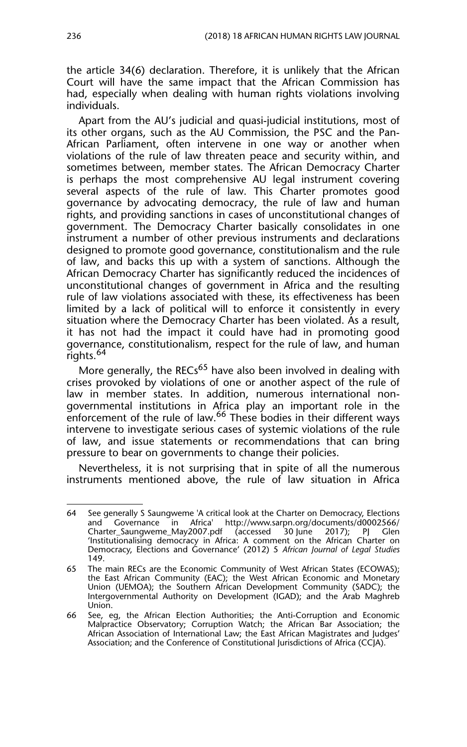the article 34(6) declaration. Therefore, it is unlikely that the African Court will have the same impact that the African Commission has had, especially when dealing with human rights violations involving individuals.

Apart from the AU's judicial and quasi-judicial institutions, most of its other organs, such as the AU Commission, the PSC and the Pan-African Parliament, often intervene in one way or another when violations of the rule of law threaten peace and security within, and sometimes between, member states. The African Democracy Charter is perhaps the most comprehensive AU legal instrument covering several aspects of the rule of law. This Charter promotes good governance by advocating democracy, the rule of law and human rights, and providing sanctions in cases of unconstitutional changes of government. The Democracy Charter basically consolidates in one instrument a number of other previous instruments and declarations designed to promote good governance, constitutionalism and the rule of law, and backs this up with a system of sanctions. Although the African Democracy Charter has significantly reduced the incidences of unconstitutional changes of government in Africa and the resulting rule of law violations associated with these, its effectiveness has been limited by a lack of political will to enforce it consistently in every situation where the Democracy Charter has been violated. As a result, it has not had the impact it could have had in promoting good governance, constitutionalism, respect for the rule of law, and human rights.<sup>64</sup>

More generally, the RECs<sup>65</sup> have also been involved in dealing with crises provoked by violations of one or another aspect of the rule of law in member states. In addition, numerous international nongovernmental institutions in Africa play an important role in the enforcement of the rule of law.<sup>66</sup> These bodies in their different ways intervene to investigate serious cases of systemic violations of the rule of law, and issue statements or recommendations that can bring pressure to bear on governments to change their policies.

Nevertheless, it is not surprising that in spite of all the numerous instruments mentioned above, the rule of law situation in Africa

<sup>64</sup> See generally S Saungweme 'A critical look at the Charter on Democracy, Elections and Governance in Africa' http://www.sarpn.org/documents/d0002566/ Charter\_Saungweme\_May2007.pdf (accessed 30 June 2017); PJ Glen 'Institutionalising democracy in Africa: A comment on the African Charter on Democracy, Elections and Governance' (2012) 5 *African Journal of Legal Studies* 149.

<sup>65</sup> The main RECs are the Economic Community of West African States (ECOWAS); the East African Community (EAC); the West African Economic and Monetary Union (UEMOA); the Southern African Development Community (SADC); the Intergovernmental Authority on Development (IGAD); and the Arab Maghreb Union.

<sup>66</sup> See, eg, the African Election Authorities; the Anti-Corruption and Economic Malpractice Observatory; Corruption Watch; the African Bar Association; the African Association of International Law; the East African Magistrates and Judges' Association; and the Conference of Constitutional Jurisdictions of Africa (CCJA).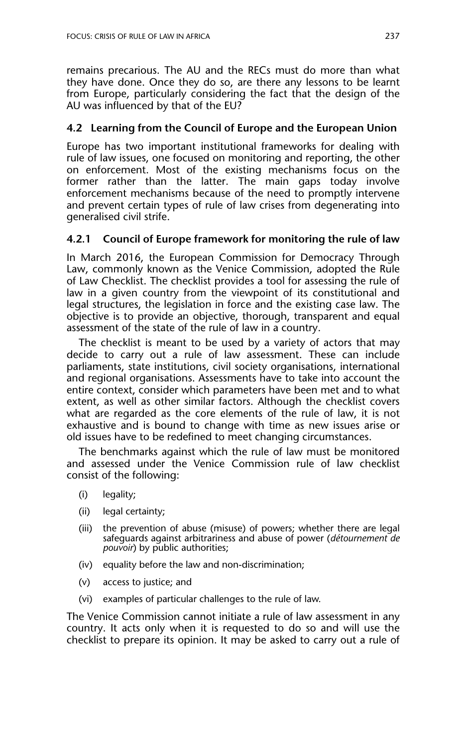remains precarious. The AU and the RECs must do more than what they have done. Once they do so, are there any lessons to be learnt from Europe, particularly considering the fact that the design of the AU was influenced by that of the EU?

#### **4.2 Learning from the Council of Europe and the European Union**

Europe has two important institutional frameworks for dealing with rule of law issues, one focused on monitoring and reporting, the other on enforcement. Most of the existing mechanisms focus on the former rather than the latter. The main gaps today involve enforcement mechanisms because of the need to promptly intervene and prevent certain types of rule of law crises from degenerating into generalised civil strife.

#### **4.2.1 Council of Europe framework for monitoring the rule of law**

In March 2016, the European Commission for Democracy Through Law, commonly known as the Venice Commission, adopted the Rule of Law Checklist. The checklist provides a tool for assessing the rule of law in a given country from the viewpoint of its constitutional and legal structures, the legislation in force and the existing case law. The objective is to provide an objective, thorough, transparent and equal assessment of the state of the rule of law in a country.

The checklist is meant to be used by a variety of actors that may decide to carry out a rule of law assessment. These can include parliaments, state institutions, civil society organisations, international and regional organisations. Assessments have to take into account the entire context, consider which parameters have been met and to what extent, as well as other similar factors. Although the checklist covers what are regarded as the core elements of the rule of law, it is not exhaustive and is bound to change with time as new issues arise or old issues have to be redefined to meet changing circumstances.

The benchmarks against which the rule of law must be monitored and assessed under the Venice Commission rule of law checklist consist of the following:

- (i) legality;
- (ii) legal certainty;
- (iii) the prevention of abuse (misuse) of powers; whether there are legal safeguards against arbitrariness and abuse of power (*détournement de pouvoir*) by public authorities;
- (iv) equality before the law and non-discrimination;
- (v) access to justice; and
- (vi) examples of particular challenges to the rule of law.

The Venice Commission cannot initiate a rule of law assessment in any country. It acts only when it is requested to do so and will use the checklist to prepare its opinion. It may be asked to carry out a rule of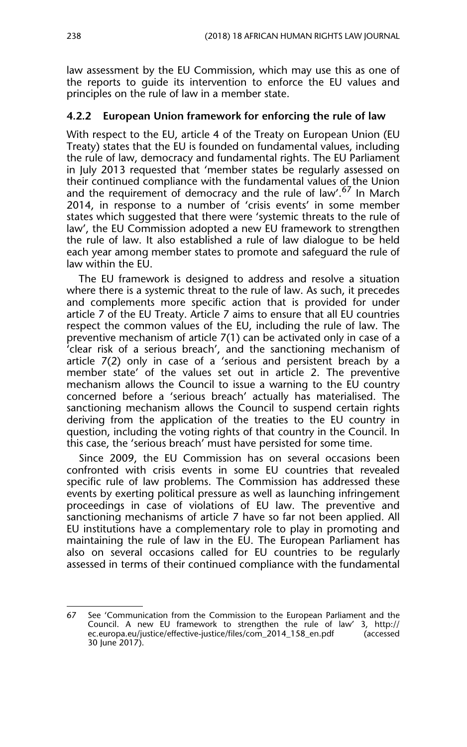law assessment by the EU Commission, which may use this as one of the reports to guide its intervention to enforce the EU values and principles on the rule of law in a member state.

#### **4.2.2 European Union framework for enforcing the rule of law**

With respect to the EU, article 4 of the Treaty on European Union (EU Treaty) states that the EU is founded on fundamental values, including the rule of law, democracy and fundamental rights. The EU Parliament in July 2013 requested that 'member states be regularly assessed on their continued compliance with the fundamental values of the Union and the requirement of democracy and the rule of law'.<sup>67</sup> In March 2014, in response to a number of 'crisis events' in some member states which suggested that there were 'systemic threats to the rule of law', the EU Commission adopted a new EU framework to strengthen the rule of law. It also established a rule of law dialogue to be held each year among member states to promote and safeguard the rule of law within the EU.

The EU framework is designed to address and resolve a situation where there is a systemic threat to the rule of law. As such, it precedes and complements more specific action that is provided for under article 7 of the EU Treaty. Article 7 aims to ensure that all EU countries respect the common values of the EU, including the rule of law. The preventive mechanism of article 7(1) can be activated only in case of a 'clear risk of a serious breach', and the sanctioning mechanism of article 7(2) only in case of a 'serious and persistent breach by a member state' of the values set out in article 2. The preventive mechanism allows the Council to issue a warning to the EU country concerned before a 'serious breach' actually has materialised. The sanctioning mechanism allows the Council to suspend certain rights deriving from the application of the treaties to the EU country in question, including the voting rights of that country in the Council. In this case, the 'serious breach' must have persisted for some time.

Since 2009, the EU Commission has on several occasions been confronted with crisis events in some EU countries that revealed specific rule of law problems. The Commission has addressed these events by exerting political pressure as well as launching infringement proceedings in case of violations of EU law. The preventive and sanctioning mechanisms of article 7 have so far not been applied. All EU institutions have a complementary role to play in promoting and maintaining the rule of law in the EU. The European Parliament has also on several occasions called for EU countries to be regularly assessed in terms of their continued compliance with the fundamental

<sup>67</sup> See 'Communication from the Commission to the European Parliament and the Council. A new EU framework to strengthen the rule of law' 3, http://<br>ec.europa.eu/justice/effective-justice/files/com\_2014\_158\_en.pdf (accessed ec.europa.eu/justice/effective-justice/files/com\_2014\_158\_en.pdf 30 June 2017).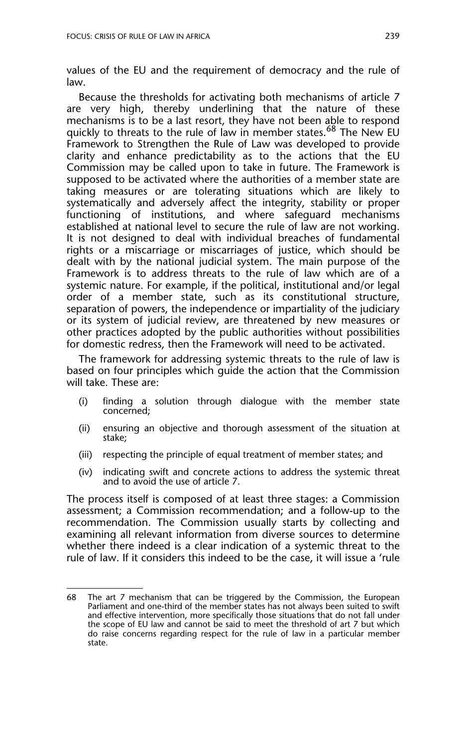values of the EU and the requirement of democracy and the rule of law.

Because the thresholds for activating both mechanisms of article 7 are very high, thereby underlining that the nature of these mechanisms is to be a last resort, they have not been able to respond quickly to threats to the rule of law in member states.<sup>68</sup> The New EU Framework to Strengthen the Rule of Law was developed to provide clarity and enhance predictability as to the actions that the EU Commission may be called upon to take in future. The Framework is supposed to be activated where the authorities of a member state are taking measures or are tolerating situations which are likely to systematically and adversely affect the integrity, stability or proper functioning of institutions, and where safeguard mechanisms established at national level to secure the rule of law are not working. It is not designed to deal with individual breaches of fundamental rights or a miscarriage or miscarriages of justice, which should be dealt with by the national judicial system. The main purpose of the Framework is to address threats to the rule of law which are of a systemic nature. For example, if the political, institutional and/or legal order of a member state, such as its constitutional structure, separation of powers, the independence or impartiality of the judiciary or its system of judicial review, are threatened by new measures or other practices adopted by the public authorities without possibilities for domestic redress, then the Framework will need to be activated.

The framework for addressing systemic threats to the rule of law is based on four principles which guide the action that the Commission will take. These are:

- (i) finding a solution through dialogue with the member state concerned;
- (ii) ensuring an objective and thorough assessment of the situation at stake;
- (iii) respecting the principle of equal treatment of member states; and
- (iv) indicating swift and concrete actions to address the systemic threat and to avoid the use of article 7.

The process itself is composed of at least three stages: a Commission assessment; a Commission recommendation; and a follow-up to the recommendation. The Commission usually starts by collecting and examining all relevant information from diverse sources to determine whether there indeed is a clear indication of a systemic threat to the rule of law. If it considers this indeed to be the case, it will issue a 'rule

<sup>68</sup> The art 7 mechanism that can be triggered by the Commission, the European Parliament and one-third of the member states has not always been suited to swift and effective intervention, more specifically those situations that do not fall under the scope of EU law and cannot be said to meet the threshold of art 7 but which do raise concerns regarding respect for the rule of law in a particular member state.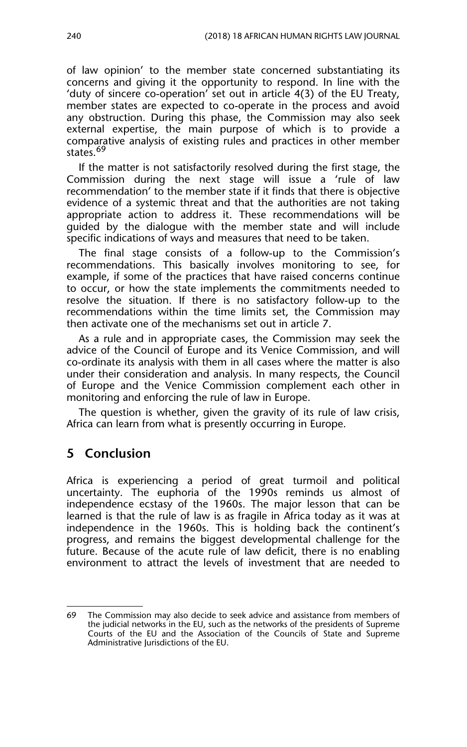of law opinion' to the member state concerned substantiating its concerns and giving it the opportunity to respond. In line with the 'duty of sincere co-operation' set out in article 4(3) of the EU Treaty, member states are expected to co-operate in the process and avoid any obstruction. During this phase, the Commission may also seek external expertise, the main purpose of which is to provide a comparative analysis of existing rules and practices in other member states.<sup>69</sup>

If the matter is not satisfactorily resolved during the first stage, the Commission during the next stage will issue a 'rule of law recommendation' to the member state if it finds that there is objective evidence of a systemic threat and that the authorities are not taking appropriate action to address it. These recommendations will be guided by the dialogue with the member state and will include specific indications of ways and measures that need to be taken.

The final stage consists of a follow-up to the Commission's recommendations. This basically involves monitoring to see, for example, if some of the practices that have raised concerns continue to occur, or how the state implements the commitments needed to resolve the situation. If there is no satisfactory follow-up to the recommendations within the time limits set, the Commission may then activate one of the mechanisms set out in article 7.

As a rule and in appropriate cases, the Commission may seek the advice of the Council of Europe and its Venice Commission, and will co-ordinate its analysis with them in all cases where the matter is also under their consideration and analysis. In many respects, the Council of Europe and the Venice Commission complement each other in monitoring and enforcing the rule of law in Europe.

The question is whether, given the gravity of its rule of law crisis, Africa can learn from what is presently occurring in Europe.

## **5 Conclusion**

Africa is experiencing a period of great turmoil and political uncertainty. The euphoria of the 1990s reminds us almost of independence ecstasy of the 1960s. The major lesson that can be learned is that the rule of law is as fragile in Africa today as it was at independence in the 1960s. This is holding back the continent's progress, and remains the biggest developmental challenge for the future. Because of the acute rule of law deficit, there is no enabling environment to attract the levels of investment that are needed to

<sup>69</sup> The Commission may also decide to seek advice and assistance from members of the judicial networks in the EU, such as the networks of the presidents of Supreme Courts of the EU and the Association of the Councils of State and Supreme Administrative Jurisdictions of the EU.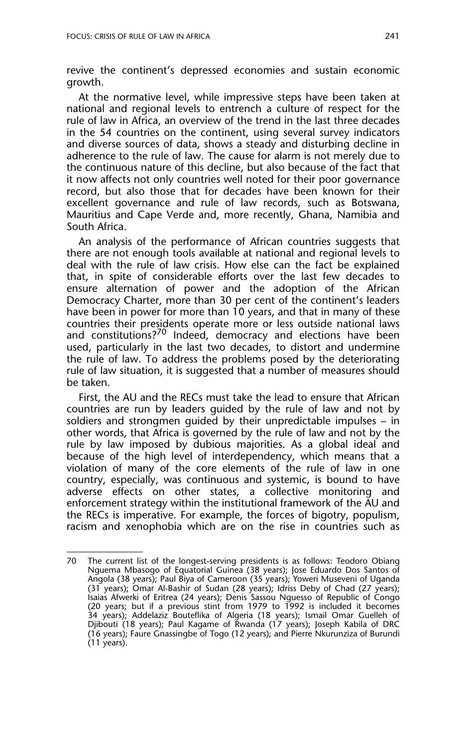revive the continent's depressed economies and sustain economic growth.

At the normative level, while impressive steps have been taken at national and regional levels to entrench a culture of respect for the rule of law in Africa, an overview of the trend in the last three decades in the 54 countries on the continent, using several survey indicators and diverse sources of data, shows a steady and disturbing decline in adherence to the rule of law. The cause for alarm is not merely due to the continuous nature of this decline, but also because of the fact that it now affects not only countries well noted for their poor governance record, but also those that for decades have been known for their excellent governance and rule of law records, such as Botswana, Mauritius and Cape Verde and, more recently, Ghana, Namibia and South Africa.

An analysis of the performance of African countries suggests that there are not enough tools available at national and regional levels to deal with the rule of law crisis. How else can the fact be explained that, in spite of considerable efforts over the last few decades to ensure alternation of power and the adoption of the African Democracy Charter, more than 30 per cent of the continent's leaders have been in power for more than 10 years, and that in many of these countries their presidents operate more or less outside national laws and constitutions?<sup>70</sup> Indeed, democracy and elections have been used, particularly in the last two decades, to distort and undermine the rule of law. To address the problems posed by the deteriorating rule of law situation, it is suggested that a number of measures should be taken.

First, the AU and the RECs must take the lead to ensure that African countries are run by leaders guided by the rule of law and not by soldiers and strongmen guided by their unpredictable impulses – in other words, that Africa is governed by the rule of law and not by the rule by law imposed by dubious majorities. As a global ideal and because of the high level of interdependency, which means that a violation of many of the core elements of the rule of law in one country, especially, was continuous and systemic, is bound to have adverse effects on other states, a collective monitoring and enforcement strategy within the institutional framework of the AU and the RECs is imperative. For example, the forces of bigotry, populism, racism and xenophobia which are on the rise in countries such as

<sup>70</sup> The current list of the longest-serving presidents is as follows: Teodoro Obiang Nguema Mbasogo of Equatorial Guinea (38 years); Jose Eduardo Dos Santos of Angola (38 years); Paul Biya of Cameroon (35 years); Yoweri Museveni of Uganda (31 years); Omar Al-Bashir of Sudan (28 years); Idriss Deby of Chad (27 years); Isaias Afwerki of Eritrea (24 years); Denis Sassou Nguesso of Republic of Congo (20 years; but if a previous stint from 1979 to 1992 is included it becomes 34 years); Addelaziz Bouteflika of Algeria (18 years); Ismail Omar Guelleh of Djibouti (18 years); Paul Kagame of Rwanda (17 years); Joseph Kabila of DRC (16 years); Faure Gnassingbe of Togo (12 years); and Pierre Nkurunziza of Burundi (11 years).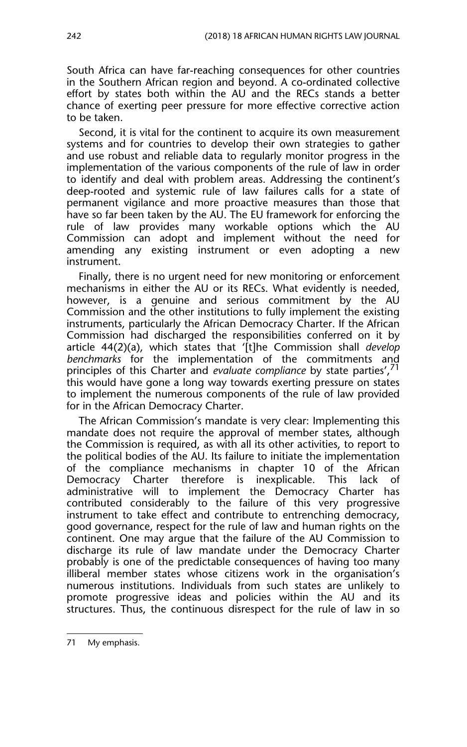South Africa can have far-reaching consequences for other countries in the Southern African region and beyond. A co-ordinated collective effort by states both within the AU and the RECs stands a better chance of exerting peer pressure for more effective corrective action to be taken.

Second, it is vital for the continent to acquire its own measurement systems and for countries to develop their own strategies to gather and use robust and reliable data to regularly monitor progress in the implementation of the various components of the rule of law in order to identify and deal with problem areas. Addressing the continent's deep-rooted and systemic rule of law failures calls for a state of permanent vigilance and more proactive measures than those that have so far been taken by the AU. The EU framework for enforcing the rule of law provides many workable options which the AU Commission can adopt and implement without the need for amending any existing instrument or even adopting a new instrument.

Finally, there is no urgent need for new monitoring or enforcement mechanisms in either the AU or its RECs. What evidently is needed, however, is a genuine and serious commitment by the AU Commission and the other institutions to fully implement the existing instruments, particularly the African Democracy Charter. If the African Commission had discharged the responsibilities conferred on it by article 44(2)(a), which states that '[t]he Commission shall *develop benchmarks* for the implementation of the commitments and principles of this Charter and *evaluate compliance* by state parties',71 this would have gone a long way towards exerting pressure on states to implement the numerous components of the rule of law provided for in the African Democracy Charter.

The African Commission's mandate is very clear: Implementing this mandate does not require the approval of member states, although the Commission is required, as with all its other activities, to report to the political bodies of the AU. Its failure to initiate the implementation of the compliance mechanisms in chapter 10 of the African Democracy Charter therefore is inexplicable. This lack of administrative will to implement the Democracy Charter has contributed considerably to the failure of this very progressive instrument to take effect and contribute to entrenching democracy, good governance, respect for the rule of law and human rights on the continent. One may argue that the failure of the AU Commission to discharge its rule of law mandate under the Democracy Charter probably is one of the predictable consequences of having too many illiberal member states whose citizens work in the organisation's numerous institutions. Individuals from such states are unlikely to promote progressive ideas and policies within the AU and its structures. Thus, the continuous disrespect for the rule of law in so

<sup>71</sup> My emphasis.